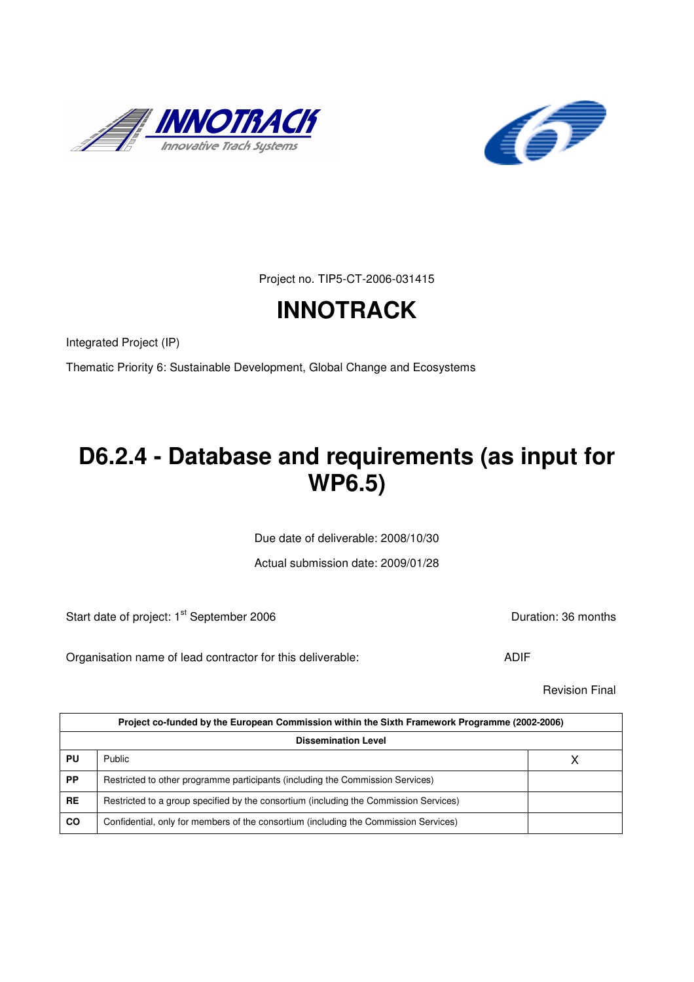



Project no. TIP5-CT-2006-031415

# **INNOTRACK**

Integrated Project (IP)

Thematic Priority 6: Sustainable Development, Global Change and Ecosystems

# **D6.2.4 - Database and requirements (as input for WP6.5)**

Due date of deliverable: 2008/10/30

Actual submission date: 2009/01/28

Start date of project: 1<sup>st</sup> September 2006 **Duration: 36 months** Duration: 36 months

Organisation name of lead contractor for this deliverable: ADIF

Revision Final

|           | Project co-funded by the European Commission within the Sixth Framework Programme (2002-2006) |  |  |  |  |  |
|-----------|-----------------------------------------------------------------------------------------------|--|--|--|--|--|
|           | <b>Dissemination Level</b>                                                                    |  |  |  |  |  |
| PU        | <b>Public</b>                                                                                 |  |  |  |  |  |
| <b>PP</b> | Restricted to other programme participants (including the Commission Services)                |  |  |  |  |  |
| <b>RE</b> | Restricted to a group specified by the consortium (including the Commission Services)         |  |  |  |  |  |
| CO        | Confidential, only for members of the consortium (including the Commission Services)          |  |  |  |  |  |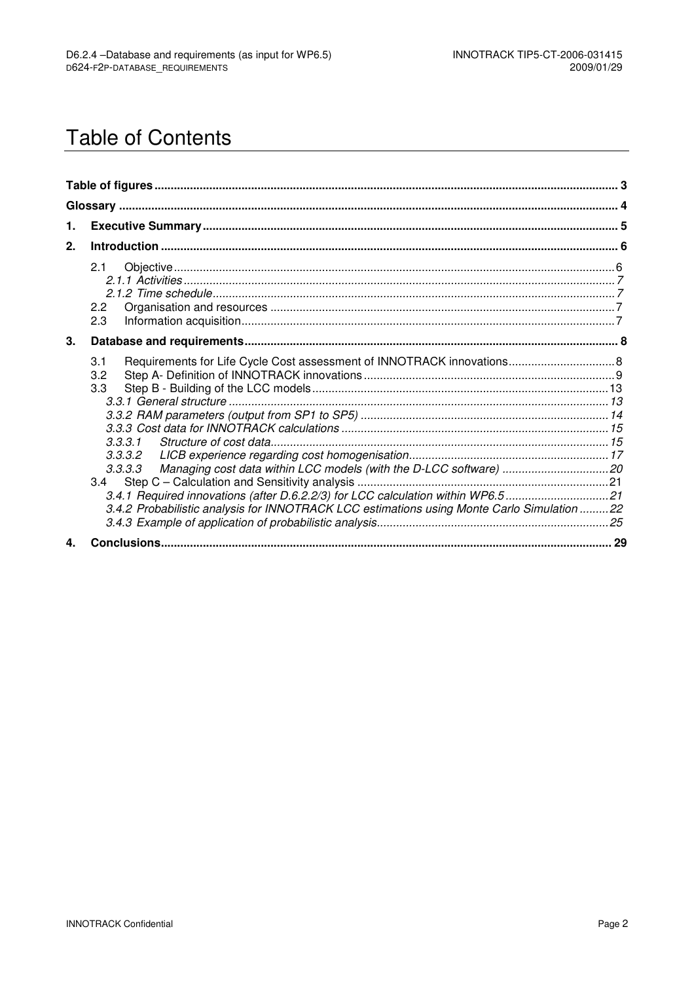# **Table of Contents**

| 1. |                                                                                                                                                                                                                                                                                                                 |  |
|----|-----------------------------------------------------------------------------------------------------------------------------------------------------------------------------------------------------------------------------------------------------------------------------------------------------------------|--|
| 2. |                                                                                                                                                                                                                                                                                                                 |  |
|    | 2.1<br>2.2<br>2.3                                                                                                                                                                                                                                                                                               |  |
| 3. |                                                                                                                                                                                                                                                                                                                 |  |
|    | Requirements for Life Cycle Cost assessment of INNOTRACK innovations 8<br>3.1<br>3.2<br>3.3 <sub>1</sub><br>3.3.3.1<br>3.3.3.3<br>3.4.1 Required innovations (after D.6.2.2/3) for LCC calculation within WP6.521<br>3.4.2 Probabilistic analysis for INNOTRACK LCC estimations using Monte Carlo Simulation 22 |  |
| 4  |                                                                                                                                                                                                                                                                                                                 |  |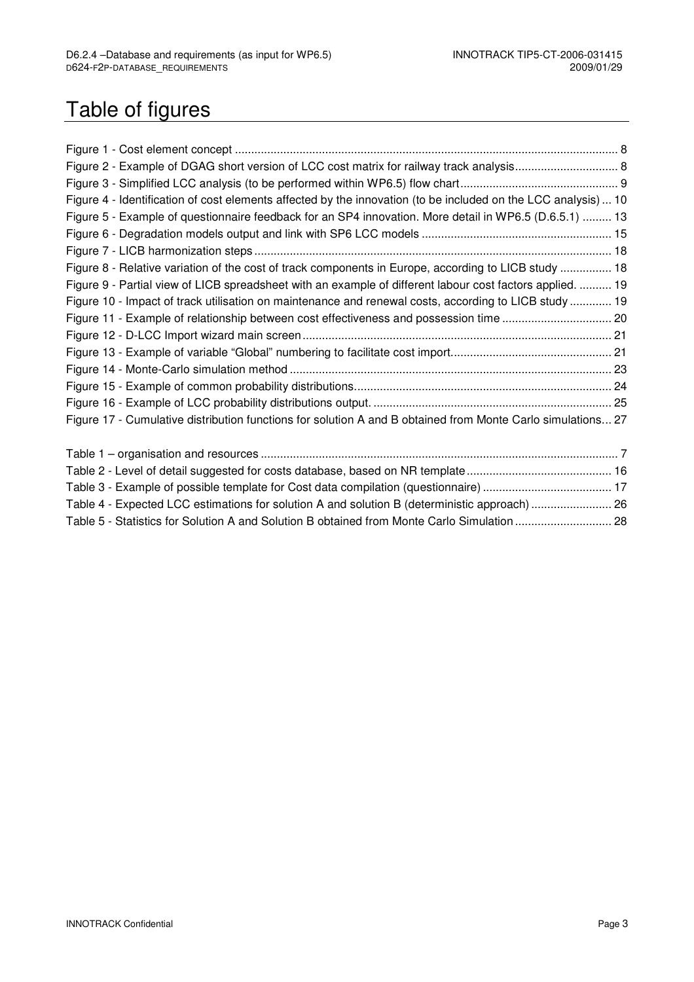# Table of figures

| Figure 2 - Example of DGAG short version of LCC cost matrix for railway track analysis 8                      |  |
|---------------------------------------------------------------------------------------------------------------|--|
|                                                                                                               |  |
| Figure 4 - Identification of cost elements affected by the innovation (to be included on the LCC analysis) 10 |  |
| Figure 5 - Example of questionnaire feedback for an SP4 innovation. More detail in WP6.5 (D.6.5.1)  13        |  |
|                                                                                                               |  |
|                                                                                                               |  |
| Figure 8 - Relative variation of the cost of track components in Europe, according to LICB study  18          |  |
| Figure 9 - Partial view of LICB spreadsheet with an example of different labour cost factors applied.  19     |  |
| Figure 10 - Impact of track utilisation on maintenance and renewal costs, according to LICB study  19         |  |
| Figure 11 - Example of relationship between cost effectiveness and possession time  20                        |  |
|                                                                                                               |  |
|                                                                                                               |  |
|                                                                                                               |  |
|                                                                                                               |  |
|                                                                                                               |  |
| Figure 17 - Cumulative distribution functions for solution A and B obtained from Monte Carlo simulations 27   |  |
|                                                                                                               |  |
|                                                                                                               |  |
|                                                                                                               |  |
|                                                                                                               |  |
| Table 4 - Expected LCC estimations for solution A and solution B (deterministic approach) 26                  |  |
| Table 5 - Statistics for Solution A and Solution B obtained from Monte Carlo Simulation  28                   |  |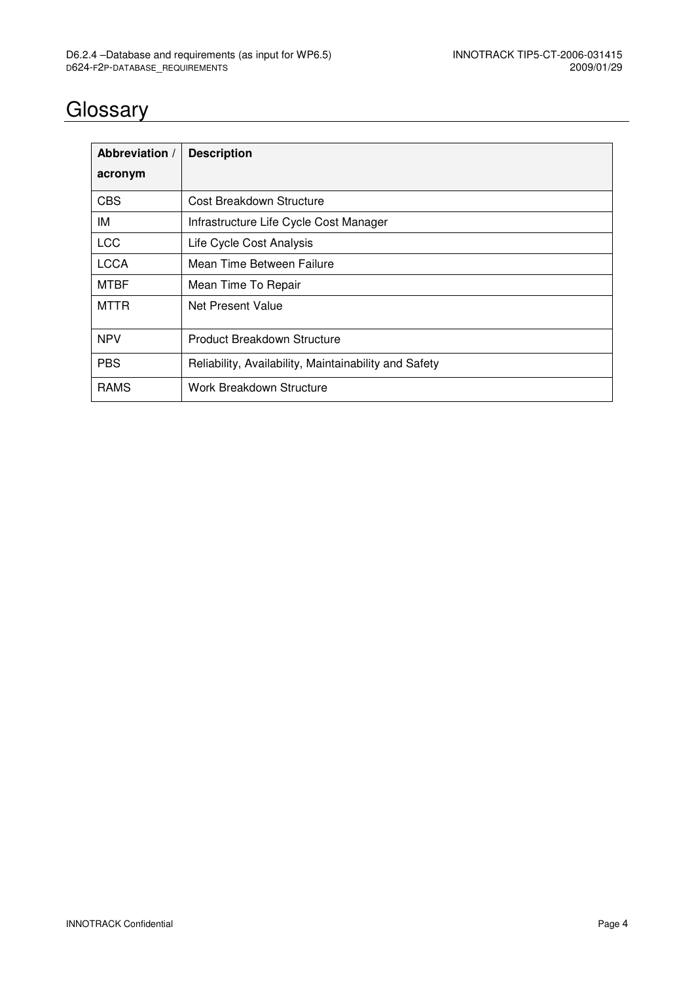# **Glossary**

| Abbreviation / | <b>Description</b>                                    |
|----------------|-------------------------------------------------------|
| acronym        |                                                       |
| <b>CBS</b>     | Cost Breakdown Structure                              |
| IM             | Infrastructure Life Cycle Cost Manager                |
| <b>LCC</b>     | Life Cycle Cost Analysis                              |
| <b>LCCA</b>    | Mean Time Between Failure                             |
| <b>MTBF</b>    | Mean Time To Repair                                   |
| <b>MTTR</b>    | Net Present Value                                     |
| <b>NPV</b>     | Product Breakdown Structure                           |
| <b>PBS</b>     | Reliability, Availability, Maintainability and Safety |
| <b>RAMS</b>    | Work Breakdown Structure                              |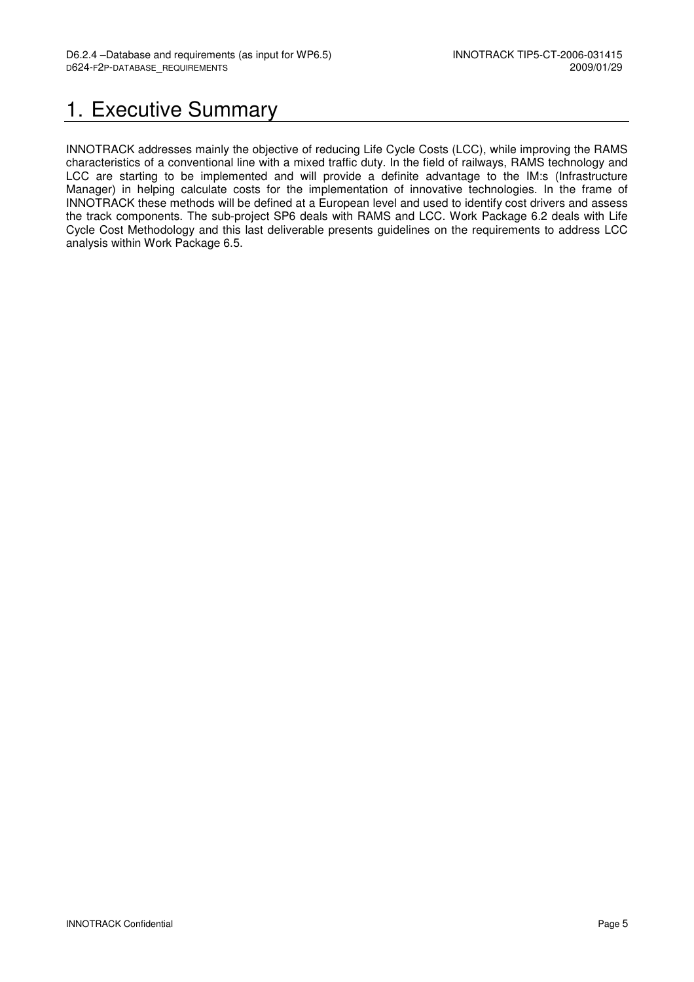## 1. Executive Summary

INNOTRACK addresses mainly the objective of reducing Life Cycle Costs (LCC), while improving the RAMS characteristics of a conventional line with a mixed traffic duty. In the field of railways, RAMS technology and LCC are starting to be implemented and will provide a definite advantage to the IM:s (Infrastructure Manager) in helping calculate costs for the implementation of innovative technologies. In the frame of INNOTRACK these methods will be defined at a European level and used to identify cost drivers and assess the track components. The sub-project SP6 deals with RAMS and LCC. Work Package 6.2 deals with Life Cycle Cost Methodology and this last deliverable presents guidelines on the requirements to address LCC analysis within Work Package 6.5.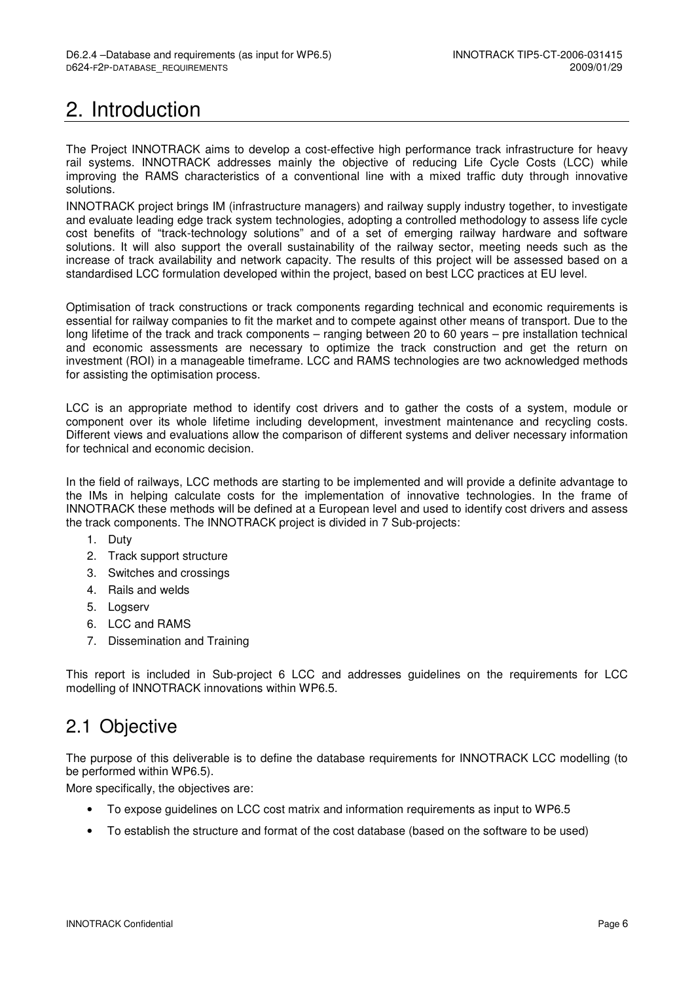# 2. Introduction

The Project INNOTRACK aims to develop a cost-effective high performance track infrastructure for heavy rail systems. INNOTRACK addresses mainly the objective of reducing Life Cycle Costs (LCC) while improving the RAMS characteristics of a conventional line with a mixed traffic duty through innovative solutions.

INNOTRACK project brings IM (infrastructure managers) and railway supply industry together, to investigate and evaluate leading edge track system technologies, adopting a controlled methodology to assess life cycle cost benefits of "track-technology solutions" and of a set of emerging railway hardware and software solutions. It will also support the overall sustainability of the railway sector, meeting needs such as the increase of track availability and network capacity. The results of this project will be assessed based on a standardised LCC formulation developed within the project, based on best LCC practices at EU level.

Optimisation of track constructions or track components regarding technical and economic requirements is essential for railway companies to fit the market and to compete against other means of transport. Due to the long lifetime of the track and track components – ranging between 20 to 60 years – pre installation technical and economic assessments are necessary to optimize the track construction and get the return on investment (ROI) in a manageable timeframe. LCC and RAMS technologies are two acknowledged methods for assisting the optimisation process.

LCC is an appropriate method to identify cost drivers and to gather the costs of a system, module or component over its whole lifetime including development, investment maintenance and recycling costs. Different views and evaluations allow the comparison of different systems and deliver necessary information for technical and economic decision.

In the field of railways, LCC methods are starting to be implemented and will provide a definite advantage to the IMs in helping calculate costs for the implementation of innovative technologies. In the frame of INNOTRACK these methods will be defined at a European level and used to identify cost drivers and assess the track components. The INNOTRACK project is divided in 7 Sub-projects:

- 1. Duty
- 2. Track support structure
- 3. Switches and crossings
- 4. Rails and welds
- 5. Logserv
- 6. LCC and RAMS
- 7. Dissemination and Training

This report is included in Sub-project 6 LCC and addresses guidelines on the requirements for LCC modelling of INNOTRACK innovations within WP6.5.

## 2.1 Objective

The purpose of this deliverable is to define the database requirements for INNOTRACK LCC modelling (to be performed within WP6.5).

More specifically, the objectives are:

- To expose guidelines on LCC cost matrix and information requirements as input to WP6.5
- To establish the structure and format of the cost database (based on the software to be used)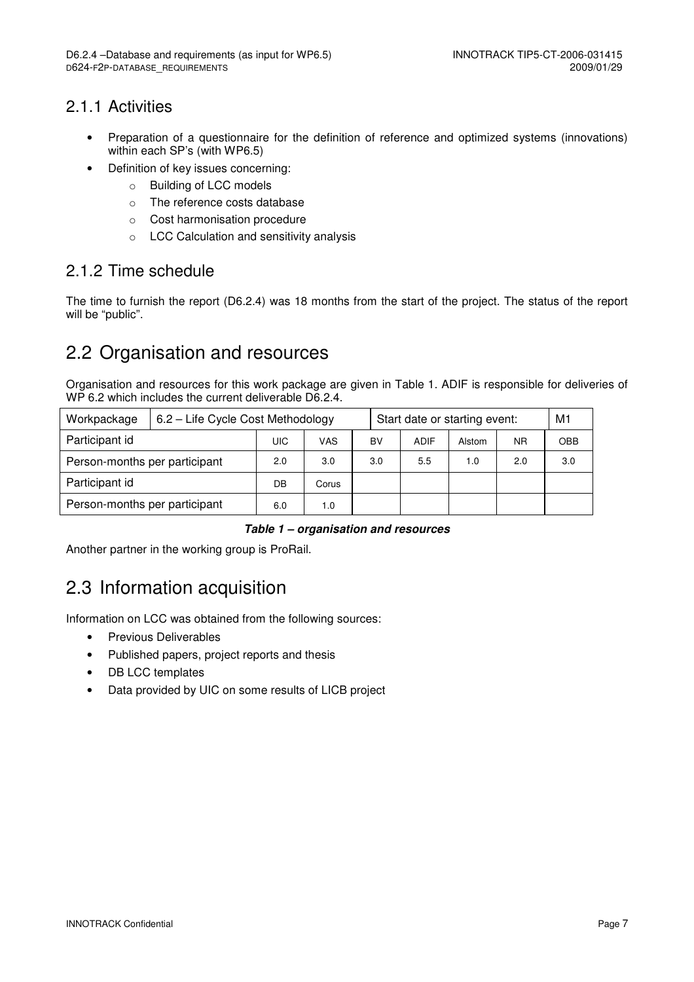### 2.1.1 Activities

- Preparation of a questionnaire for the definition of reference and optimized systems (innovations) within each SP's (with WP6.5)
- Definition of key issues concerning:
	- o Building of LCC models
	- o The reference costs database
	- o Cost harmonisation procedure
	- o LCC Calculation and sensitivity analysis

### 2.1.2 Time schedule

The time to furnish the report (D6.2.4) was 18 months from the start of the project. The status of the report will be "public".

## 2.2 Organisation and resources

Organisation and resources for this work package are given in Table 1. ADIF is responsible for deliveries of WP 6.2 which includes the current deliverable D6.2.4.

| Workpackage                   | 6.2 - Life Cycle Cost Methodology |     |       |     | Start date or starting event: |        |           |            |
|-------------------------------|-----------------------------------|-----|-------|-----|-------------------------------|--------|-----------|------------|
| Participant id                |                                   | UIC | VAS   | BV  | <b>ADIF</b>                   | Alstom | <b>NR</b> | <b>OBB</b> |
| Person-months per participant |                                   | 2.0 | 3.0   | 3.0 | 5.5                           | 1.0    | 2.0       | 3.0        |
| Participant id                |                                   | DB  | Corus |     |                               |        |           |            |
| Person-months per participant |                                   | 6.0 | 1.0   |     |                               |        |           |            |

#### **Table 1 – organisation and resources**

Another partner in the working group is ProRail.

## 2.3 Information acquisition

Information on LCC was obtained from the following sources:

- Previous Deliverables
- Published papers, project reports and thesis
- DB LCC templates
- Data provided by UIC on some results of LICB project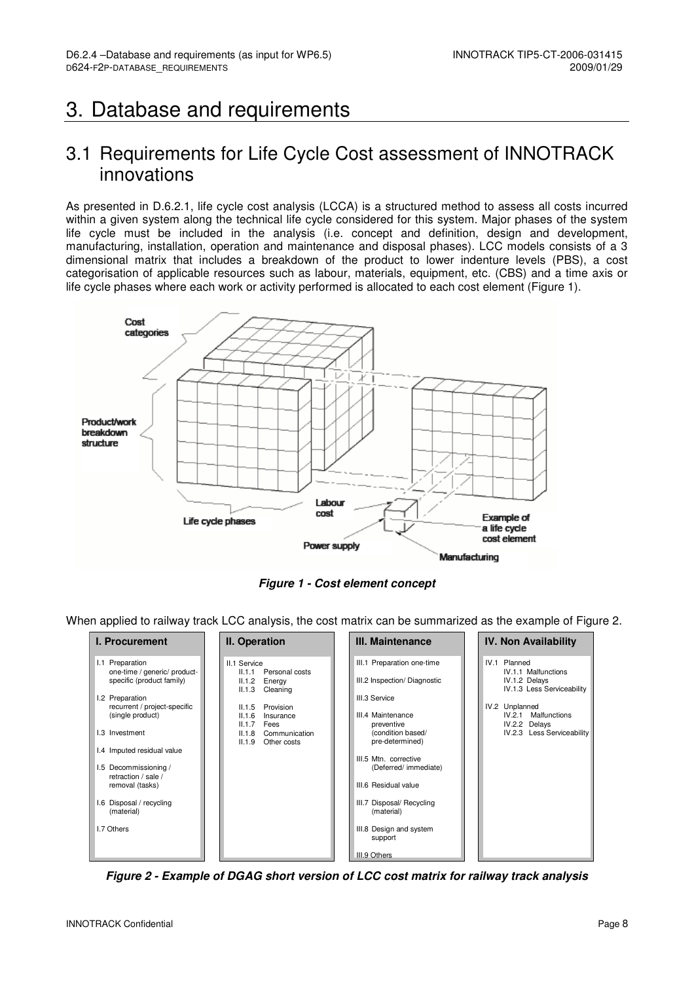## 3. Database and requirements

### 3.1 Requirements for Life Cycle Cost assessment of INNOTRACK innovations

As presented in D.6.2.1, life cycle cost analysis (LCCA) is a structured method to assess all costs incurred within a given system along the technical life cycle considered for this system. Major phases of the system life cycle must be included in the analysis (i.e. concept and definition, design and development, manufacturing, installation, operation and maintenance and disposal phases). LCC models consists of a 3 dimensional matrix that includes a breakdown of the product to lower indenture levels (PBS), a cost categorisation of applicable resources such as labour, materials, equipment, etc. (CBS) and a time axis or life cycle phases where each work or activity performed is allocated to each cost element (Figure 1).



**Figure 1 - Cost element concept** 

When applied to railway track LCC analysis, the cost matrix can be summarized as the example of Figure 2.

| <b>I. Procurement</b>                                     | II. Operation                                | III. Maintenance            | <b>IV. Non Availability</b>                 |
|-----------------------------------------------------------|----------------------------------------------|-----------------------------|---------------------------------------------|
| I.1 Preparation                                           | II.1 Service                                 | III.1 Preparation one-time  | IV.1 Planned                                |
| one-time / generic/ product-<br>specific (product family) | Personal costs<br>II.1.1<br>II.1.2<br>Energy | III.2 Inspection/Diagnostic | <b>IV.1.1 Malfunctions</b><br>IV.1.2 Delays |
|                                                           | II.1.3<br>Cleaning                           |                             | IV.1.3 Less Serviceability                  |
| I.2 Preparation                                           |                                              | III.3 Service               |                                             |
| recurrent / project-specific<br>(single product)          | II.1.5<br>Provision<br>II.1.6<br>Insurance   | III.4 Maintenance           | IV.2 Unplanned<br>IV.2.1<br>Malfunctions    |
|                                                           | II.1.7<br>Fees                               | preventive                  | IV.2.2 Delays                               |
| 1.3 Investment                                            | Communication<br>II.1.8                      | (condition based/           | IV.2.3 Less Serviceability                  |
|                                                           | II.1.9<br>Other costs                        | pre-determined)             |                                             |
| I.4 Imputed residual value                                |                                              | III.5 Mtn. corrective       |                                             |
| 1.5 Decommissioning /                                     |                                              | (Deferred/ immediate)       |                                             |
| retraction / sale /                                       |                                              |                             |                                             |
| removal (tasks)                                           |                                              | III.6 Residual value        |                                             |
| I.6 Disposal / recycling                                  |                                              | III.7 Disposal/ Recycling   |                                             |
| (material)                                                |                                              | (material)                  |                                             |
| I.7 Others                                                |                                              | III.8 Design and system     |                                             |
|                                                           |                                              | support                     |                                             |
|                                                           |                                              | III.9 Others                |                                             |

**Figure 2 - Example of DGAG short version of LCC cost matrix for railway track analysis**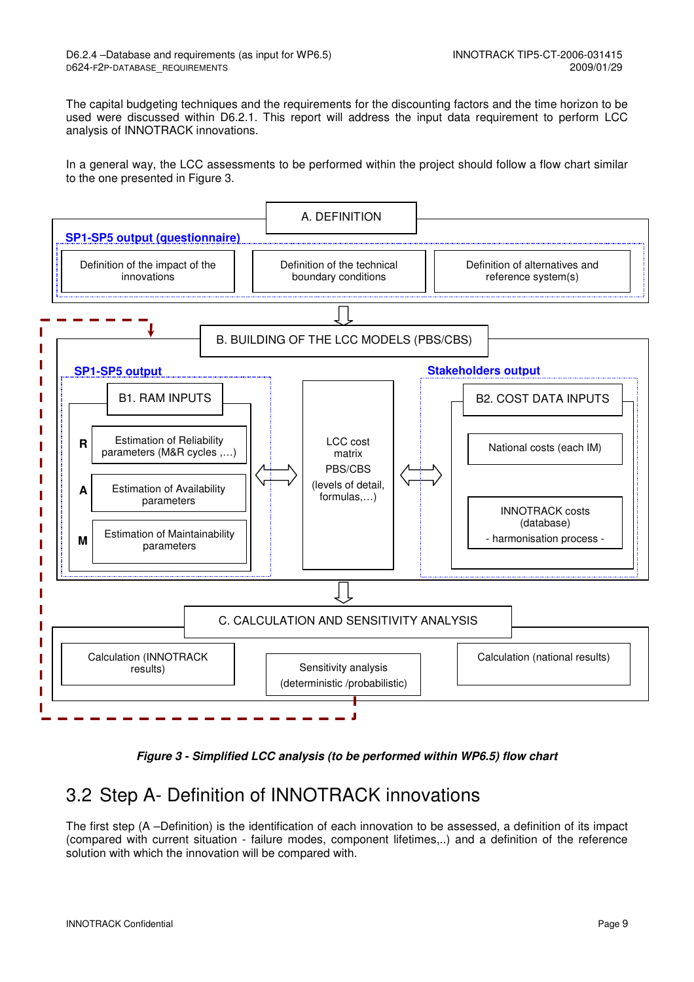The capital budgeting techniques and the requirements for the discounting factors and the time horizon to be used were discussed within D6.2.1. This report will address the input data requirement to perform LCC analysis of INNOTRACK innovations.

In a general way, the LCC assessments to be performed within the project should follow a flow chart similar to the one presented in Figure 3.



**Figure 3 - Simplified LCC analysis (to be performed within WP6.5) flow chart** 

## 3.2 Step A- Definition of INNOTRACK innovations

The first step (A –Definition) is the identification of each innovation to be assessed, a definition of its impact (compared with current situation - failure modes, component lifetimes,..) and a definition of the reference solution with which the innovation will be compared with.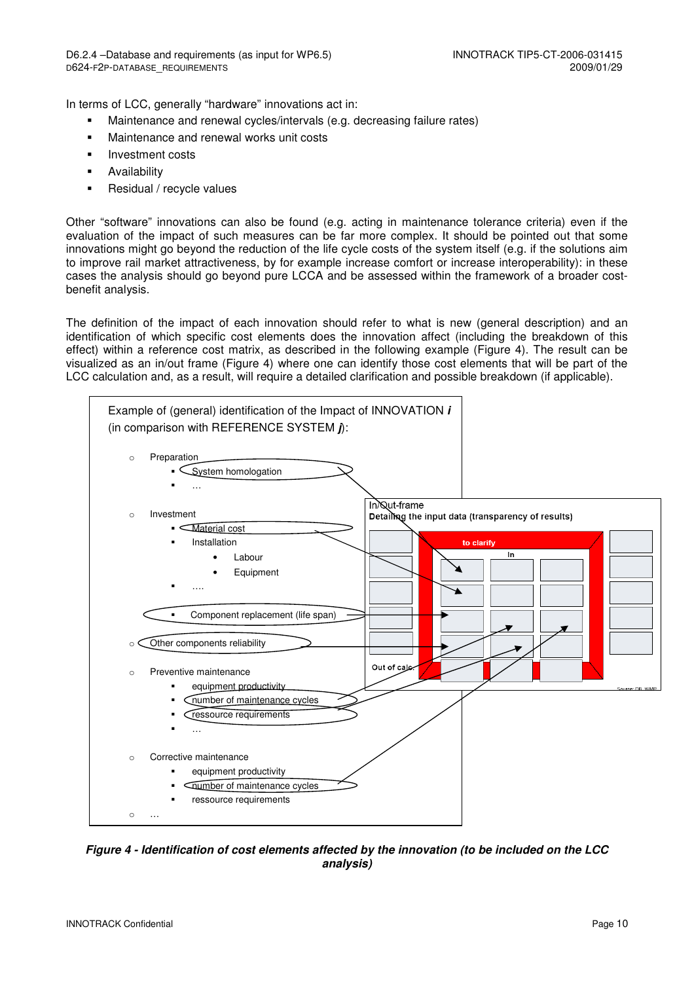In terms of LCC, generally "hardware" innovations act in:

- Maintenance and renewal cycles/intervals (e.g. decreasing failure rates)
- **Maintenance and renewal works unit costs**
- **Investment costs**
- **-** Availability
- **Residual / recycle values**

Other "software" innovations can also be found (e.g. acting in maintenance tolerance criteria) even if the evaluation of the impact of such measures can be far more complex. It should be pointed out that some innovations might go beyond the reduction of the life cycle costs of the system itself (e.g. if the solutions aim to improve rail market attractiveness, by for example increase comfort or increase interoperability): in these cases the analysis should go beyond pure LCCA and be assessed within the framework of a broader costbenefit analysis.

The definition of the impact of each innovation should refer to what is new (general description) and an identification of which specific cost elements does the innovation affect (including the breakdown of this effect) within a reference cost matrix, as described in the following example (Figure 4). The result can be visualized as an in/out frame (Figure 4) where one can identify those cost elements that will be part of the LCC calculation and, as a result, will require a detailed clarification and possible breakdown (if applicable).



**Figure 4 - Identification of cost elements affected by the innovation (to be included on the LCC analysis)**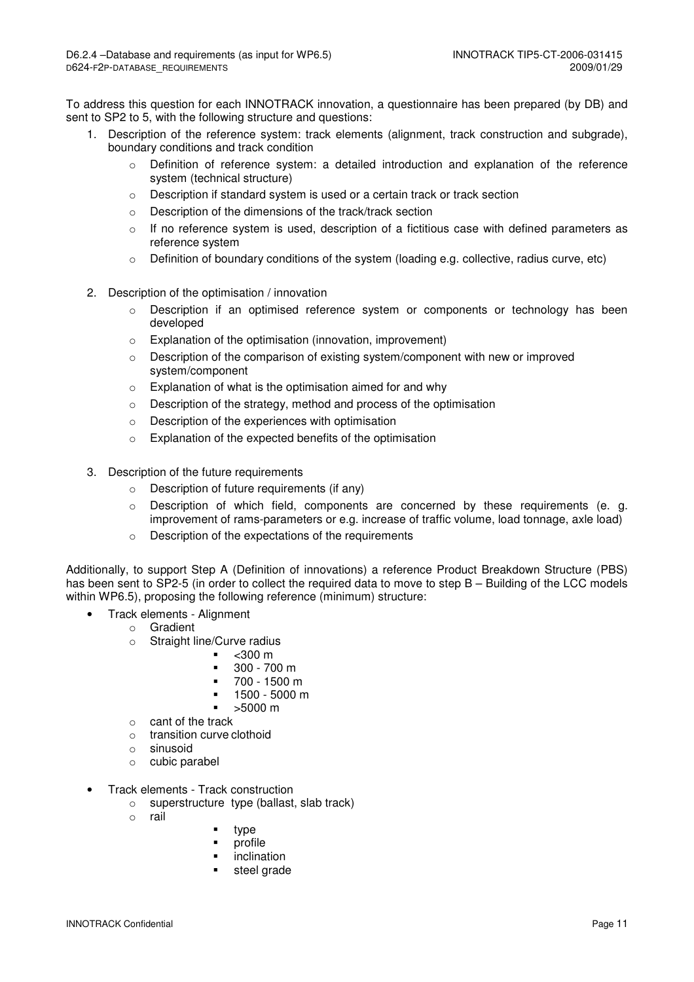To address this question for each INNOTRACK innovation, a questionnaire has been prepared (by DB) and sent to SP2 to 5, with the following structure and questions:

- 1. Description of the reference system: track elements (alignment, track construction and subgrade), boundary conditions and track condition
	- $\circ$  Definition of reference system: a detailed introduction and explanation of the reference system (technical structure)
	- o Description if standard system is used or a certain track or track section
	- o Description of the dimensions of the track/track section
	- $\circ$  If no reference system is used, description of a fictitious case with defined parameters as reference system
	- $\circ$  Definition of boundary conditions of the system (loading e.g. collective, radius curve, etc)
- 2. Description of the optimisation / innovation
	- o Description if an optimised reference system or components or technology has been developed
	- o Explanation of the optimisation (innovation, improvement)
	- $\circ$  Description of the comparison of existing system/component with new or improved system/component
	- o Explanation of what is the optimisation aimed for and why
	- o Description of the strategy, method and process of the optimisation
	- o Description of the experiences with optimisation
	- o Explanation of the expected benefits of the optimisation
- 3. Description of the future requirements
	- o Description of future requirements (if any)
	- $\circ$  Description of which field, components are concerned by these requirements (e. g. improvement of rams-parameters or e.g. increase of traffic volume, load tonnage, axle load)
	- o Description of the expectations of the requirements

Additionally, to support Step A (Definition of innovations) a reference Product Breakdown Structure (PBS) has been sent to SP2-5 (in order to collect the required data to move to step B – Building of the LCC models within WP6.5), proposing the following reference (minimum) structure:

- Track elements Alignment
	- o Gradient
		- o Straight line/Curve radius
			- $<$ 300 m
			- 300 700 m
			- 700 1500 m
			- 1500 5000 m
			- >5000 m
		- o cant of the track
		- o transition curve clothoid
		- o sinusoid
		- o cubic parabel
- Track elements Track construction
	- o superstructure type (ballast, slab track)
	- o rail
- type
- **•** profile
- **•** inclination
- steel grade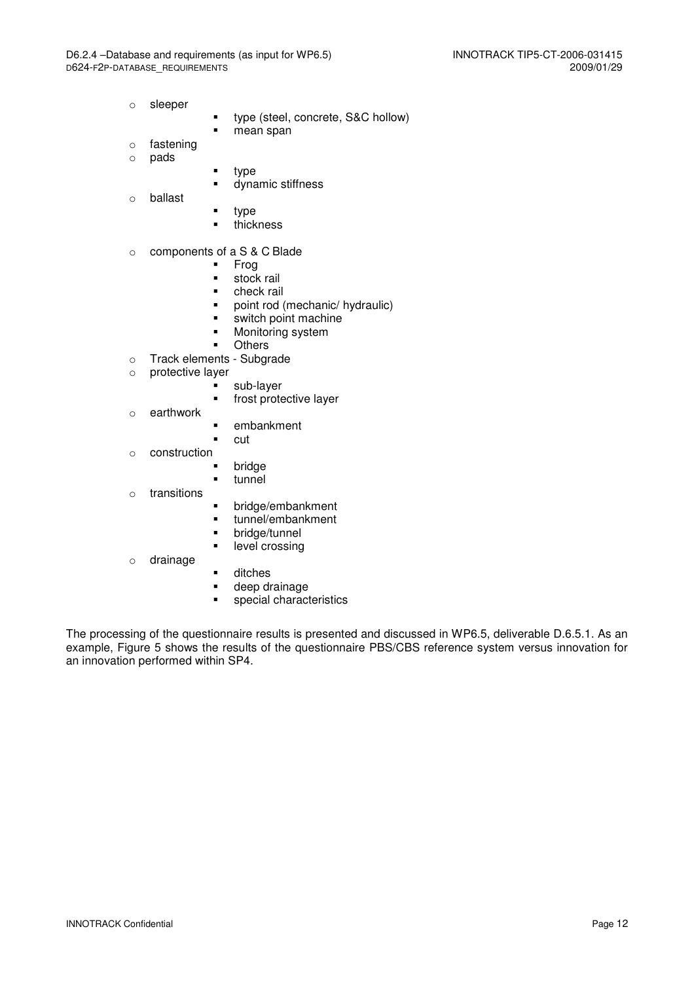- o sleeper
- **type (steel, concrete, S&C hollow)**
- **n**ean span
- o fastening
- o pads
- $t$ ype
	- **dynamic stiffness**
- o ballast
- **type**
- **thickness**

#### o components of a S & C Blade

- Frog
- stock rail
- check rail
- point rod (mechanic/ hydraulic)
- **switch point machine**
- **Monitoring system**
- **Others**
- o Track elements Subgrade
- o protective layer
	- sub-layer
		- **frost protective layer**
- o earthwork
- **·** embankment
- cut
- o construction
	- **bridge**<br>**tunnel**
	- tunnel
- o transitions
- **•** bridge/embankment
- **unnel/embankment**
- **•** bridge/tunnel
- **-** level crossing
- o drainage
- **u** ditches
- **•** deep drainage
- **special characteristics**

The processing of the questionnaire results is presented and discussed in WP6.5, deliverable D.6.5.1. As an example, Figure 5 shows the results of the questionnaire PBS/CBS reference system versus innovation for an innovation performed within SP4.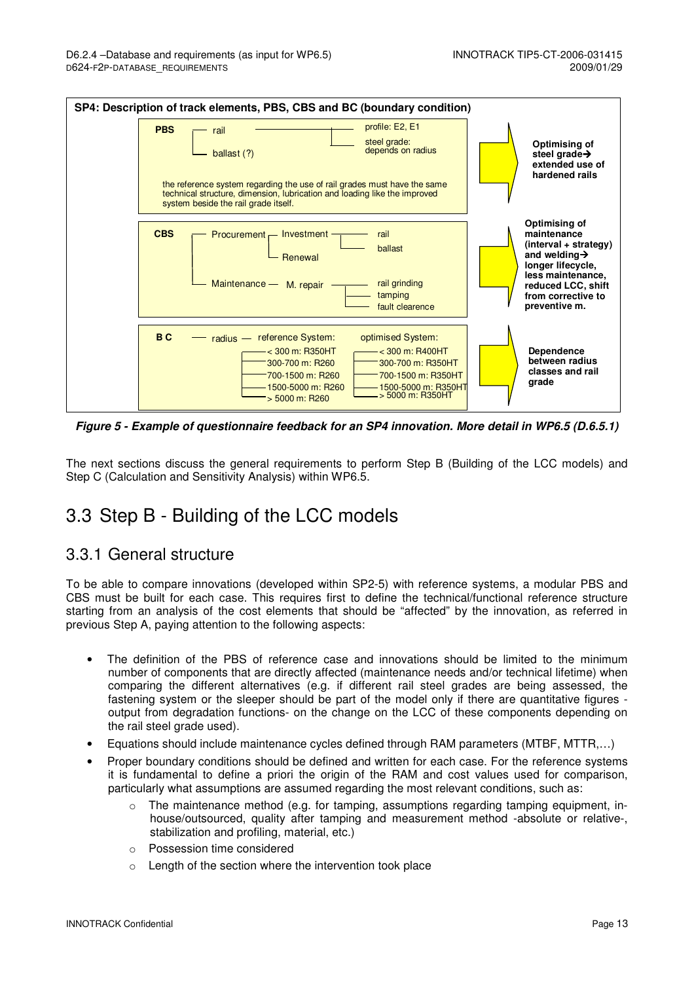

**Figure 5 - Example of questionnaire feedback for an SP4 innovation. More detail in WP6.5 (D.6.5.1)** 

The next sections discuss the general requirements to perform Step B (Building of the LCC models) and Step C (Calculation and Sensitivity Analysis) within WP6.5.

## 3.3 Step B - Building of the LCC models

#### 3.3.1 General structure

To be able to compare innovations (developed within SP2-5) with reference systems, a modular PBS and CBS must be built for each case. This requires first to define the technical/functional reference structure starting from an analysis of the cost elements that should be "affected" by the innovation, as referred in previous Step A, paying attention to the following aspects:

- The definition of the PBS of reference case and innovations should be limited to the minimum number of components that are directly affected (maintenance needs and/or technical lifetime) when comparing the different alternatives (e.g. if different rail steel grades are being assessed, the fastening system or the sleeper should be part of the model only if there are quantitative figures output from degradation functions- on the change on the LCC of these components depending on the rail steel grade used).
- Equations should include maintenance cycles defined through RAM parameters (MTBF, MTTR,…)
- Proper boundary conditions should be defined and written for each case. For the reference systems it is fundamental to define a priori the origin of the RAM and cost values used for comparison, particularly what assumptions are assumed regarding the most relevant conditions, such as:
	- $\circ$  The maintenance method (e.g. for tamping, assumptions regarding tamping equipment, inhouse/outsourced, quality after tamping and measurement method -absolute or relative-, stabilization and profiling, material, etc.)
	- o Possession time considered
	- o Length of the section where the intervention took place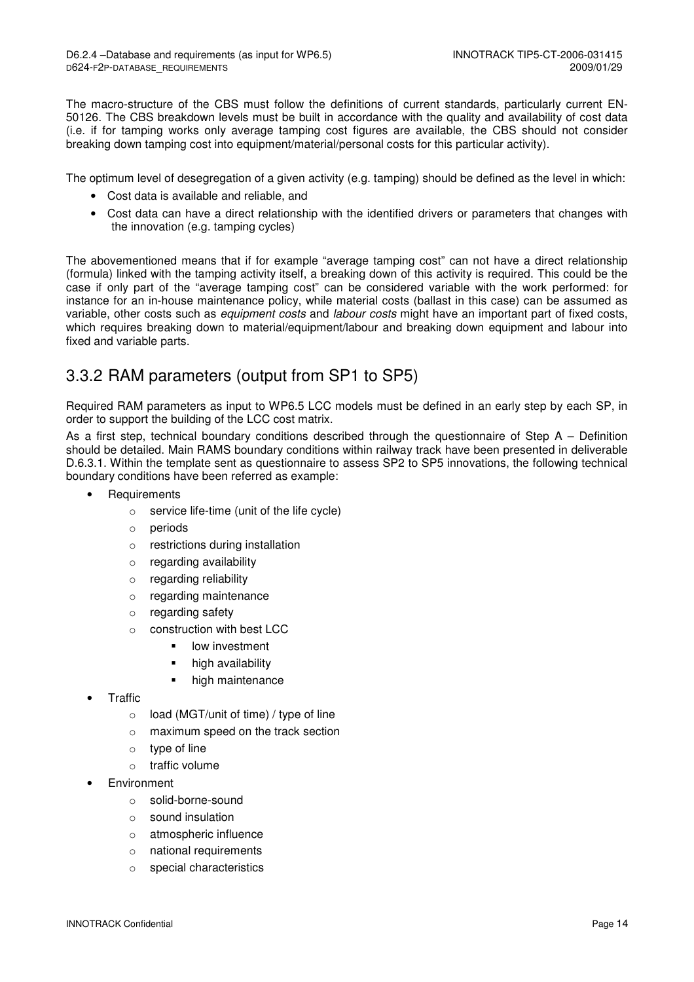The macro-structure of the CBS must follow the definitions of current standards, particularly current EN-50126. The CBS breakdown levels must be built in accordance with the quality and availability of cost data (i.e. if for tamping works only average tamping cost figures are available, the CBS should not consider breaking down tamping cost into equipment/material/personal costs for this particular activity).

The optimum level of desegregation of a given activity (e.g. tamping) should be defined as the level in which:

- Cost data is available and reliable, and
- Cost data can have a direct relationship with the identified drivers or parameters that changes with the innovation (e.g. tamping cycles)

The abovementioned means that if for example "average tamping cost" can not have a direct relationship (formula) linked with the tamping activity itself, a breaking down of this activity is required. This could be the case if only part of the "average tamping cost" can be considered variable with the work performed: for instance for an in-house maintenance policy, while material costs (ballast in this case) can be assumed as variable, other costs such as *equipment costs* and *labour costs* might have an important part of fixed costs, which requires breaking down to material/equipment/labour and breaking down equipment and labour into fixed and variable parts.

### 3.3.2 RAM parameters (output from SP1 to SP5)

Required RAM parameters as input to WP6.5 LCC models must be defined in an early step by each SP, in order to support the building of the LCC cost matrix.

As a first step, technical boundary conditions described through the questionnaire of Step A – Definition should be detailed. Main RAMS boundary conditions within railway track have been presented in deliverable D.6.3.1. Within the template sent as questionnaire to assess SP2 to SP5 innovations, the following technical boundary conditions have been referred as example:

- **Requirements** 
	- o service life-time (unit of the life cycle)
	- o periods
	- o restrictions during installation
	- o regarding availability
	- o regarding reliability
	- o regarding maintenance
	- o regarding safety
	- o construction with best LCC
		- low investment
		- high availability
		- high maintenance
- Traffic
	- o load (MGT/unit of time) / type of line
	- o maximum speed on the track section
	- o type of line
	- o traffic volume
- **Environment** 
	- o solid-borne-sound
	- o sound insulation
	- o atmospheric influence
	- o national requirements
	- o special characteristics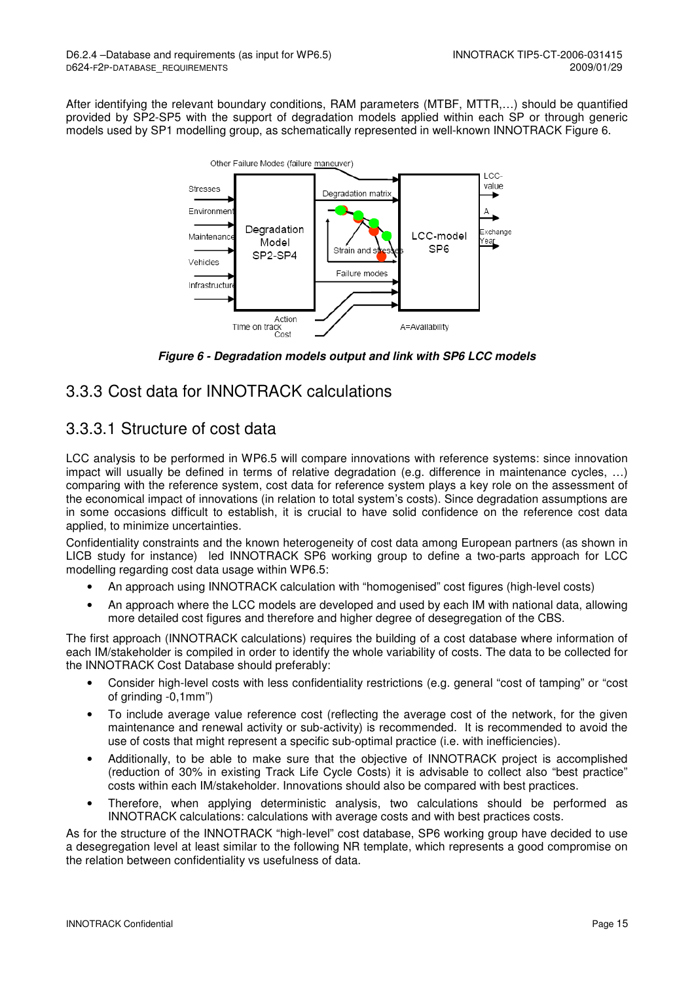After identifying the relevant boundary conditions, RAM parameters (MTBF, MTTR,…) should be quantified provided by SP2-SP5 with the support of degradation models applied within each SP or through generic models used by SP1 modelling group, as schematically represented in well-known INNOTRACK Figure 6.



**Figure 6 - Degradation models output and link with SP6 LCC models** 

### 3.3.3 Cost data for INNOTRACK calculations

### 3.3.3.1 Structure of cost data

LCC analysis to be performed in WP6.5 will compare innovations with reference systems: since innovation impact will usually be defined in terms of relative degradation (e.g. difference in maintenance cycles, …) comparing with the reference system, cost data for reference system plays a key role on the assessment of the economical impact of innovations (in relation to total system's costs). Since degradation assumptions are in some occasions difficult to establish, it is crucial to have solid confidence on the reference cost data applied, to minimize uncertainties.

Confidentiality constraints and the known heterogeneity of cost data among European partners (as shown in LICB study for instance) led INNOTRACK SP6 working group to define a two-parts approach for LCC modelling regarding cost data usage within WP6.5:

- An approach using INNOTRACK calculation with "homogenised" cost figures (high-level costs)
- An approach where the LCC models are developed and used by each IM with national data, allowing more detailed cost figures and therefore and higher degree of desegregation of the CBS.

The first approach (INNOTRACK calculations) requires the building of a cost database where information of each IM/stakeholder is compiled in order to identify the whole variability of costs. The data to be collected for the INNOTRACK Cost Database should preferably:

- Consider high-level costs with less confidentiality restrictions (e.g. general "cost of tamping" or "cost of grinding -0,1mm")
- To include average value reference cost (reflecting the average cost of the network, for the given maintenance and renewal activity or sub-activity) is recommended. It is recommended to avoid the use of costs that might represent a specific sub-optimal practice (i.e. with inefficiencies).
- Additionally, to be able to make sure that the objective of INNOTRACK project is accomplished (reduction of 30% in existing Track Life Cycle Costs) it is advisable to collect also "best practice" costs within each IM/stakeholder. Innovations should also be compared with best practices.
- Therefore, when applying deterministic analysis, two calculations should be performed as INNOTRACK calculations: calculations with average costs and with best practices costs.

As for the structure of the INNOTRACK "high-level" cost database, SP6 working group have decided to use a desegregation level at least similar to the following NR template, which represents a good compromise on the relation between confidentiality vs usefulness of data.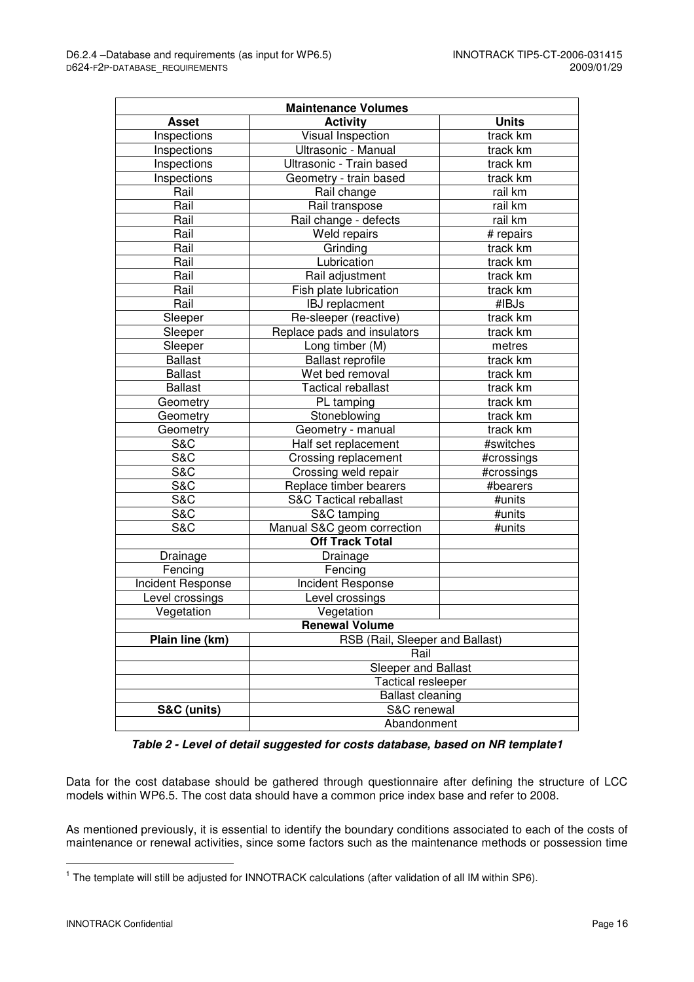| <b>Maintenance Volumes</b>                         |                                   |              |  |  |  |  |  |  |
|----------------------------------------------------|-----------------------------------|--------------|--|--|--|--|--|--|
| <b>Asset</b>                                       | <b>Activity</b>                   | <b>Units</b> |  |  |  |  |  |  |
| Inspections                                        | Visual Inspection                 | track km     |  |  |  |  |  |  |
| Inspections                                        | Ultrasonic - Manual               | track km     |  |  |  |  |  |  |
| Inspections                                        | Ultrasonic - Train based          | track km     |  |  |  |  |  |  |
| Inspections                                        | Geometry - train based            | track km     |  |  |  |  |  |  |
| Rail                                               | Rail change                       | rail km      |  |  |  |  |  |  |
| Rail                                               | Rail transpose                    | rail km      |  |  |  |  |  |  |
| Rail                                               | Rail change - defects             | rail km      |  |  |  |  |  |  |
| Rail                                               | Weld repairs                      | # repairs    |  |  |  |  |  |  |
| Rail                                               | Grinding                          | track km     |  |  |  |  |  |  |
| Rail                                               | Lubrication                       | track km     |  |  |  |  |  |  |
| Rail                                               | Rail adjustment                   | track km     |  |  |  |  |  |  |
| Rail                                               | Fish plate lubrication            | track km     |  |  |  |  |  |  |
| Rail                                               | <b>IBJ</b> replacment             | #IBJs        |  |  |  |  |  |  |
| Sleeper                                            | Re-sleeper (reactive)             | track km     |  |  |  |  |  |  |
| Sleeper                                            | Replace pads and insulators       | track km     |  |  |  |  |  |  |
| Sleeper                                            | Long timber (M)                   | metres       |  |  |  |  |  |  |
| <b>Ballast</b>                                     | Ballast reprofile                 | track km     |  |  |  |  |  |  |
| <b>Ballast</b>                                     | Wet bed removal                   | track km     |  |  |  |  |  |  |
| <b>Ballast</b>                                     | <b>Tactical reballast</b>         | track km     |  |  |  |  |  |  |
| Geometry                                           | PL tamping                        | track km     |  |  |  |  |  |  |
| Geometry                                           | Stoneblowing                      | track km     |  |  |  |  |  |  |
| Geometry                                           | Geometry - manual                 | track km     |  |  |  |  |  |  |
| S&C                                                | Half set replacement              | #switches    |  |  |  |  |  |  |
| <b>S&amp;C</b>                                     | Crossing replacement              | #crossings   |  |  |  |  |  |  |
| <b>S&amp;C</b>                                     | Crossing weld repair              | #crossings   |  |  |  |  |  |  |
| <b>S&amp;C</b>                                     | Replace timber bearers            | #bearers     |  |  |  |  |  |  |
| <b>S&amp;C</b>                                     | <b>S&amp;C Tactical reballast</b> | #units       |  |  |  |  |  |  |
| <b>S&amp;C</b>                                     | S&C tamping                       | #units       |  |  |  |  |  |  |
| S&C                                                | Manual S&C geom correction        | #units       |  |  |  |  |  |  |
|                                                    | <b>Off Track Total</b>            |              |  |  |  |  |  |  |
| Drainage                                           | Drainage                          |              |  |  |  |  |  |  |
| Fencing                                            | Fencing                           |              |  |  |  |  |  |  |
| <b>Incident Response</b>                           | <b>Incident Response</b>          |              |  |  |  |  |  |  |
| Level crossings                                    | Level crossings                   |              |  |  |  |  |  |  |
| Vegetation                                         | Vegetation                        |              |  |  |  |  |  |  |
|                                                    | <b>Renewal Volume</b>             |              |  |  |  |  |  |  |
| Plain line (km)<br>RSB (Rail, Sleeper and Ballast) |                                   |              |  |  |  |  |  |  |
|                                                    | Rail                              |              |  |  |  |  |  |  |
| Sleeper and Ballast                                |                                   |              |  |  |  |  |  |  |
|                                                    | Tactical resleeper                |              |  |  |  |  |  |  |
|                                                    | <b>Ballast cleaning</b>           |              |  |  |  |  |  |  |
| S&C (units)                                        | S&C renewal                       |              |  |  |  |  |  |  |
| Abandonment                                        |                                   |              |  |  |  |  |  |  |

**Table 2 - Level of detail suggested for costs database, based on NR template1** 

Data for the cost database should be gathered through questionnaire after defining the structure of LCC models within WP6.5. The cost data should have a common price index base and refer to 2008.

As mentioned previously, it is essential to identify the boundary conditions associated to each of the costs of maintenance or renewal activities, since some factors such as the maintenance methods or possession time

l

<sup>&</sup>lt;sup>1</sup> The template will still be adjusted for INNOTRACK calculations (after validation of all IM within SP6).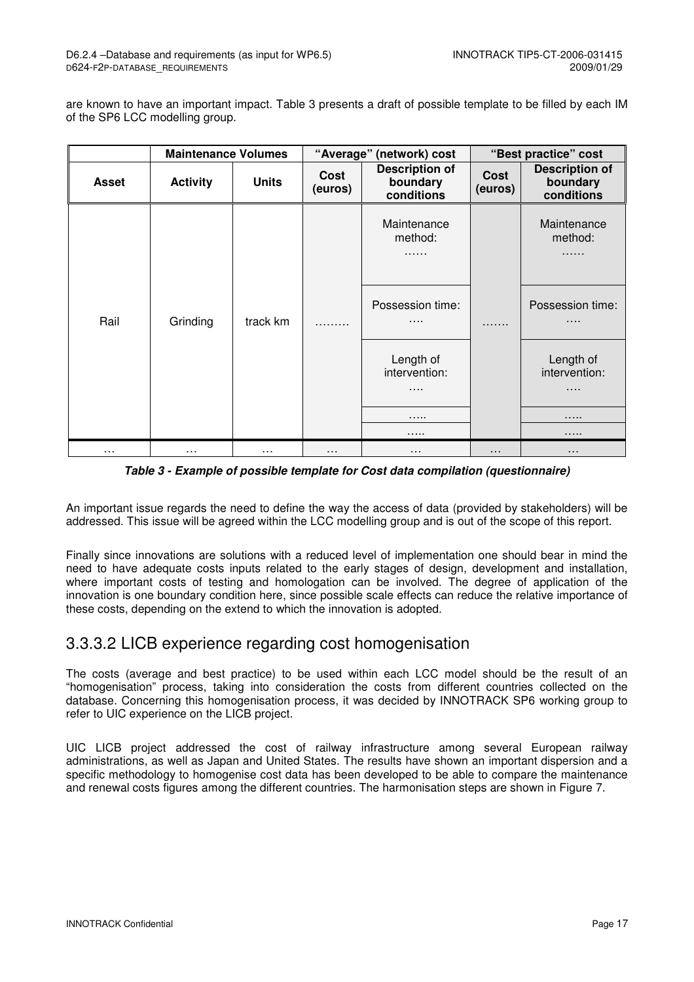are known to have an important impact. Table 3 presents a draft of possible template to be filled by each IM of the SP6 LCC modelling group.

|              |                 | <b>Maintenance Volumes</b><br>"Average" (network) cost |                 |                                                 | "Best practice" cost |                                                 |
|--------------|-----------------|--------------------------------------------------------|-----------------|-------------------------------------------------|----------------------|-------------------------------------------------|
| <b>Asset</b> | <b>Activity</b> | <b>Units</b>                                           | Cost<br>(euros) | <b>Description of</b><br>boundary<br>conditions | Cost<br>(euros)      | <b>Description of</b><br>boundary<br>conditions |
|              |                 |                                                        |                 | Maintenance<br>method:<br>.                     |                      | Maintenance<br>method:<br>.                     |
| Rail         | Grinding        | track km                                               |                 | Possession time:<br>.                           | .                    | Possession time:<br>$\cdots$                    |
|              |                 |                                                        |                 | Length of<br>intervention:<br>.                 |                      | Length of<br>intervention:<br>.                 |
|              |                 |                                                        |                 | .                                               |                      | .                                               |
|              |                 |                                                        |                 | .                                               |                      | .                                               |
| $\cdots$     |                 | $\cdots$                                               | .               | $\cdots$                                        | $\cdots$             | $\cdots$                                        |

**Table 3 - Example of possible template for Cost data compilation (questionnaire)** 

An important issue regards the need to define the way the access of data (provided by stakeholders) will be addressed. This issue will be agreed within the LCC modelling group and is out of the scope of this report.

Finally since innovations are solutions with a reduced level of implementation one should bear in mind the need to have adequate costs inputs related to the early stages of design, development and installation, where important costs of testing and homologation can be involved. The degree of application of the innovation is one boundary condition here, since possible scale effects can reduce the relative importance of these costs, depending on the extend to which the innovation is adopted.

### 3.3.3.2 LICB experience regarding cost homogenisation

The costs (average and best practice) to be used within each LCC model should be the result of an "homogenisation" process, taking into consideration the costs from different countries collected on the database. Concerning this homogenisation process, it was decided by INNOTRACK SP6 working group to refer to UIC experience on the LICB project.

UIC LICB project addressed the cost of railway infrastructure among several European railway administrations, as well as Japan and United States. The results have shown an important dispersion and a specific methodology to homogenise cost data has been developed to be able to compare the maintenance and renewal costs figures among the different countries. The harmonisation steps are shown in Figure 7.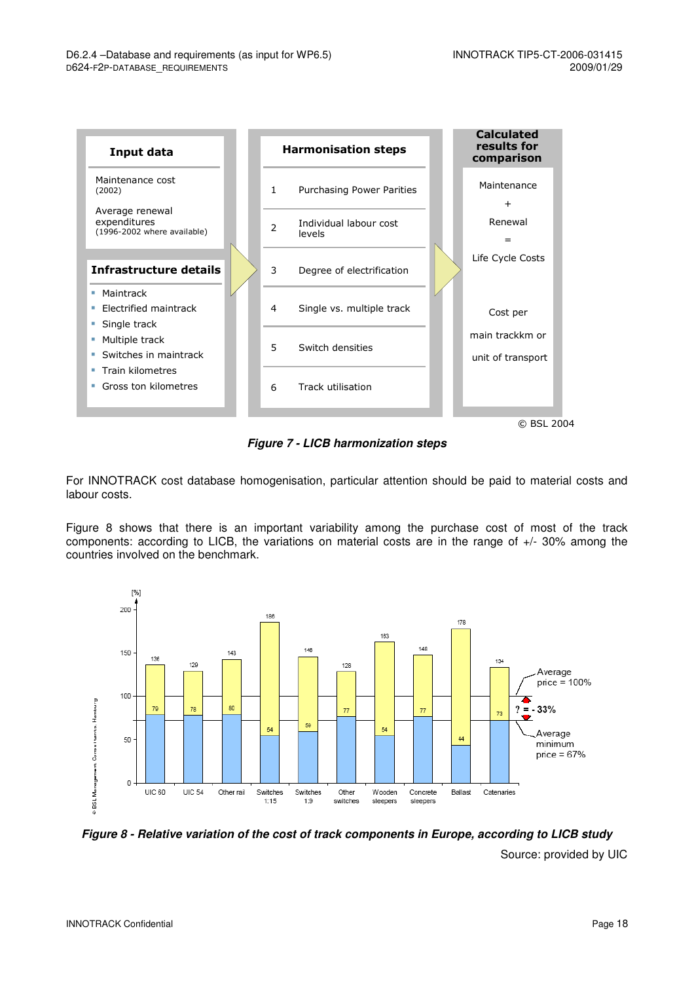

**Figure 7 - LICB harmonization steps** 

For INNOTRACK cost database homogenisation, particular attention should be paid to material costs and labour costs.

Figure 8 shows that there is an important variability among the purchase cost of most of the track components: according to LICB, the variations on material costs are in the range of +/- 30% among the countries involved on the benchmark.



**Figure 8 - Relative variation of the cost of track components in Europe, according to LICB study** 

Source: provided by UIC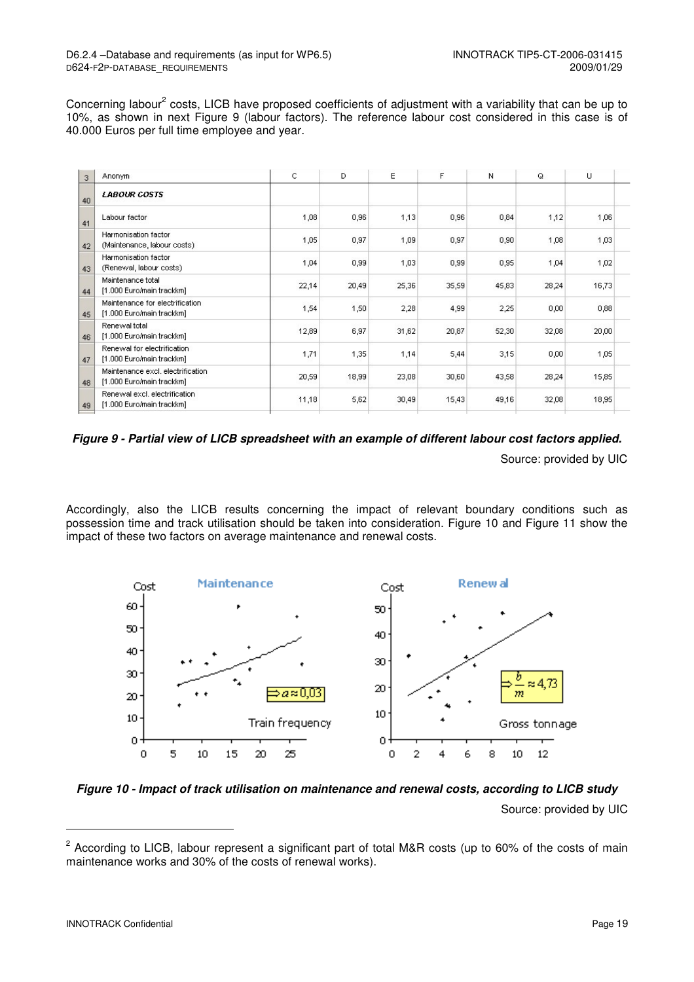Concerning labour<sup>2</sup> costs, LICB have proposed coefficients of adjustment with a variability that can be up to 10%, as shown in next Figure 9 (labour factors). The reference labour cost considered in this case is of 40.000 Euros per full time employee and year.

| Anonym                                                         | C     | D     | E     | F     | Ν     | Q     | U     |
|----------------------------------------------------------------|-------|-------|-------|-------|-------|-------|-------|
| <b>LABOUR COSTS</b>                                            |       |       |       |       |       |       |       |
| Labour factor                                                  | 1,08  | 0,96  | 1,13  | 0,96  | 0,84  | 1,12  | 1,06  |
| Harmonisation factor<br>(Maintenance, labour costs)            | 1,05  | 0,97  | 1,09  | 0,97  | 0,90  | 1,08  | 1,03  |
| Harmonisation factor<br>(Renewal, labour costs)                | 1,04  | 0,99  | 1,03  | 0,99  | 0,95  | 1,04  | 1,02  |
| Maintenance total<br>[1.000 Euro/main trackkm]                 | 22,14 | 20,49 | 25,36 | 35,59 | 45,83 | 28,24 | 16,73 |
| Maintenance for electrification.<br>[1.000 Euro/main trackkm]  | 1,54  | 1,50  | 2,28  | 4,99  | 2,25  | 0,00  | 0,88  |
| Renewal total<br>[1.000 Euro/main trackkm]                     | 12,89 | 6,97  | 31,62 | 20,87 | 52,30 | 32,08 | 20,00 |
| Renewal for electrification<br>[1.000 Euro/main trackkm]       | 1,71  | 1,35  | 1,14  | 5,44  | 3,15  | 0,00  | 1,05  |
| Maintenance excl. electrification<br>[1.000 Euro/main trackkm] | 20,59 | 18,99 | 23,08 | 30,60 | 43,58 | 28,24 | 15,85 |
| Renewal excl. electrification<br>[1.000 Euro/main trackkm]     | 11,18 | 5,62  | 30,49 | 15,43 | 49,16 | 32,08 | 18,95 |
|                                                                |       |       |       |       |       |       |       |

**Figure 9 - Partial view of LICB spreadsheet with an example of different labour cost factors applied.** 

Source: provided by UIC

Accordingly, also the LICB results concerning the impact of relevant boundary conditions such as possession time and track utilisation should be taken into consideration. Figure 10 and Figure 11 show the impact of these two factors on average maintenance and renewal costs.



**Figure 10 - Impact of track utilisation on maintenance and renewal costs, according to LICB study** 

Source: provided by UIC

-

<sup>&</sup>lt;sup>2</sup> According to LICB, labour represent a significant part of total M&R costs (up to 60% of the costs of main maintenance works and 30% of the costs of renewal works).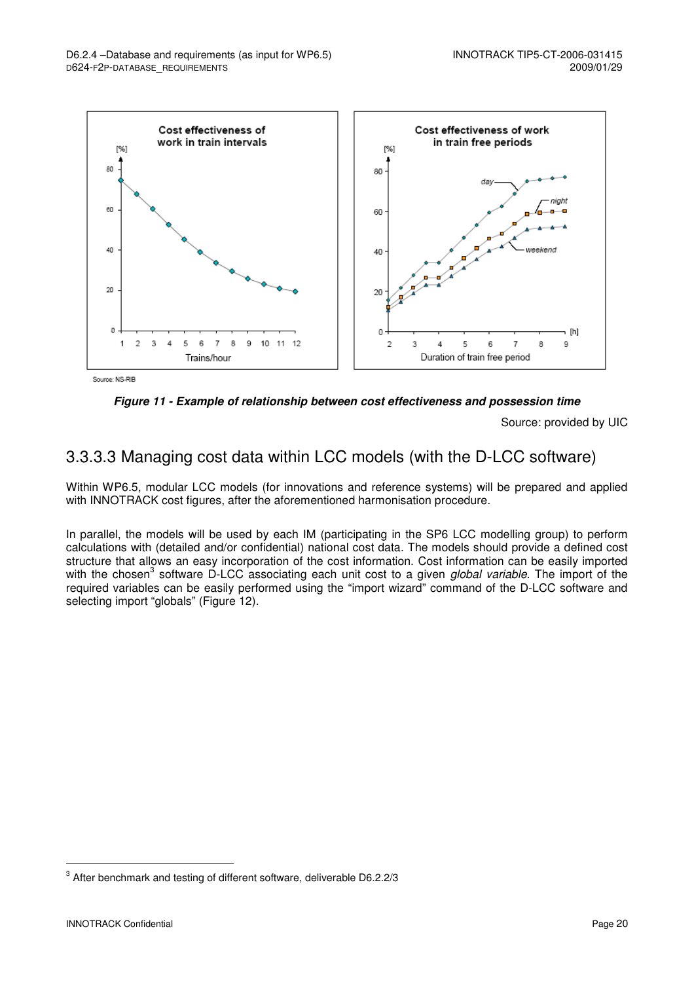

Source: NS-RIB



Source: provided by UIC

### 3.3.3.3 Managing cost data within LCC models (with the D-LCC software)

Within WP6.5, modular LCC models (for innovations and reference systems) will be prepared and applied with INNOTRACK cost figures, after the aforementioned harmonisation procedure.

In parallel, the models will be used by each IM (participating in the SP6 LCC modelling group) to perform calculations with (detailed and/or confidential) national cost data. The models should provide a defined cost structure that allows an easy incorporation of the cost information. Cost information can be easily imported with the chosen<sup>3</sup> software D-LCC associating each unit cost to a given global variable. The import of the required variables can be easily performed using the "import wizard" command of the D-LCC software and selecting import "globals" (Figure 12).

l

 $3$  After benchmark and testing of different software, deliverable D6.2.2/3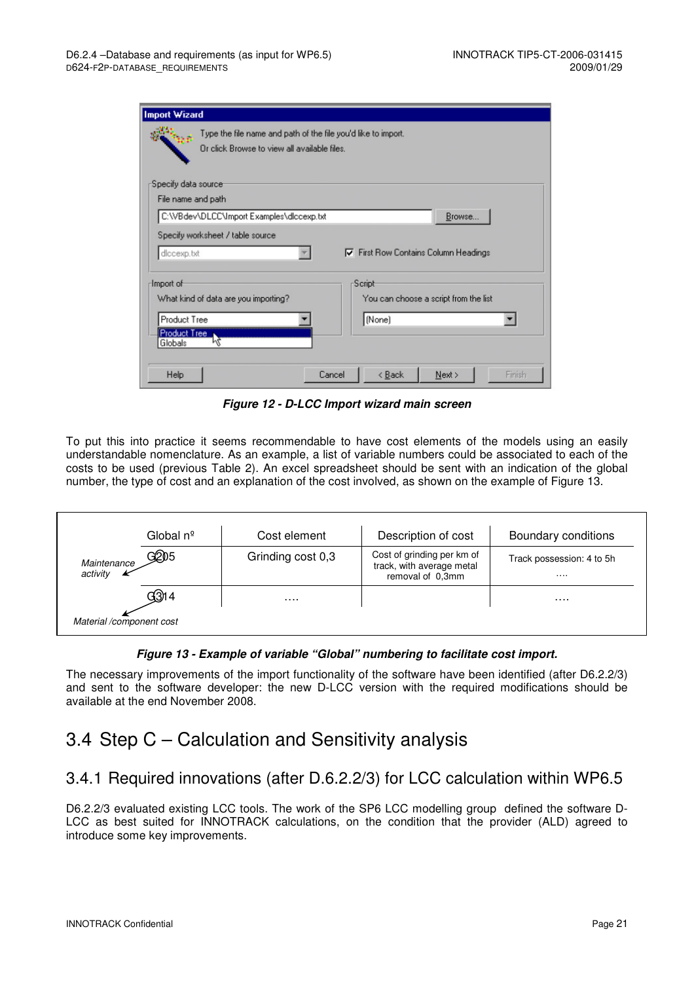| <b>Import Wizard</b>                                                                                          |        |        |                                             |        |
|---------------------------------------------------------------------------------------------------------------|--------|--------|---------------------------------------------|--------|
| Type the file name and path of the file you'd like to import.<br>Or click Browse to view all available files. |        |        |                                             |        |
| Specify data source                                                                                           |        |        |                                             |        |
| File name and path                                                                                            |        |        |                                             |        |
| C:\VBdev\DLCC\Import Examples\diccexp.txt                                                                     |        |        | Browse                                      |        |
| Specify worksheet / table source                                                                              |        |        |                                             |        |
| diccexp.txt                                                                                                   |        |        | <b>▽</b> First Row Contains Column Headings |        |
| <b>Import</b> of                                                                                              | Script |        |                                             |        |
| What kind of data are you importing?                                                                          |        |        | You can choose a script from the list       |        |
| Product Tree                                                                                                  |        | (None) |                                             |        |
| Product Tree                                                                                                  |        |        |                                             |        |
| μź<br>Globals                                                                                                 |        |        |                                             |        |
| Help                                                                                                          | Cancel | < Back | Next                                        | Finish |

**Figure 12 - D-LCC Import wizard main screen** 

To put this into practice it seems recommendable to have cost elements of the models using an easily understandable nomenclature. As an example, a list of variable numbers could be associated to each of the costs to be used (previous Table 2). An excel spreadsheet should be sent with an indication of the global number, the type of cost and an explanation of the cost involved, as shown on the example of Figure 13.

|                          | Global nº | Cost element      | Description of cost                                                         | Boundary conditions           |
|--------------------------|-----------|-------------------|-----------------------------------------------------------------------------|-------------------------------|
| Maintenance<br>activity  | ලුවා5     | Grinding cost 0,3 | Cost of grinding per km of<br>track, with average metal<br>removal of 0.3mm | Track possession: 4 to 5h<br> |
|                          | G3)14     | .                 |                                                                             | .                             |
| Material /component cost |           |                   |                                                                             |                               |

#### **Figure 13 - Example of variable "Global" numbering to facilitate cost import.**

The necessary improvements of the import functionality of the software have been identified (after D6.2.2/3) and sent to the software developer: the new D-LCC version with the required modifications should be available at the end November 2008.

### 3.4 Step C – Calculation and Sensitivity analysis

### 3.4.1 Required innovations (after D.6.2.2/3) for LCC calculation within WP6.5

D6.2.2/3 evaluated existing LCC tools. The work of the SP6 LCC modelling group defined the software D-LCC as best suited for INNOTRACK calculations, on the condition that the provider (ALD) agreed to introduce some key improvements.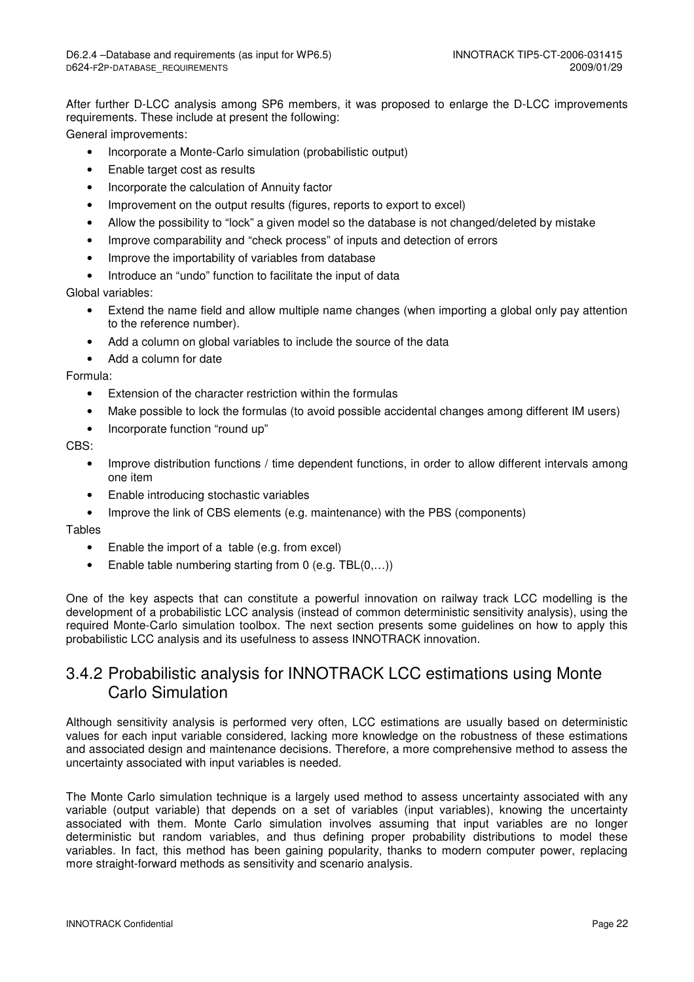After further D-LCC analysis among SP6 members, it was proposed to enlarge the D-LCC improvements requirements. These include at present the following:

General improvements:

- Incorporate a Monte-Carlo simulation (probabilistic output)
- Enable target cost as results
- Incorporate the calculation of Annuity factor
- Improvement on the output results (figures, reports to export to excel)
- Allow the possibility to "lock" a given model so the database is not changed/deleted by mistake
- Improve comparability and "check process" of inputs and detection of errors
- Improve the importability of variables from database
- Introduce an "undo" function to facilitate the input of data

#### Global variables:

- Extend the name field and allow multiple name changes (when importing a global only pay attention to the reference number).
- Add a column on global variables to include the source of the data
- Add a column for date

#### Formula:

- Extension of the character restriction within the formulas
- Make possible to lock the formulas (to avoid possible accidental changes among different IM users)
- Incorporate function "round up"

#### $CRS<sup>+</sup>$

- Improve distribution functions / time dependent functions, in order to allow different intervals among one item
- Enable introducing stochastic variables
- Improve the link of CBS elements (e.g. maintenance) with the PBS (components)

#### **Tables**

- Enable the import of a table (e.g. from excel)
- Enable table numbering starting from 0 (e.g. TBL(0,...))

One of the key aspects that can constitute a powerful innovation on railway track LCC modelling is the development of a probabilistic LCC analysis (instead of common deterministic sensitivity analysis), using the required Monte-Carlo simulation toolbox. The next section presents some guidelines on how to apply this probabilistic LCC analysis and its usefulness to assess INNOTRACK innovation.

#### 3.4.2 Probabilistic analysis for INNOTRACK LCC estimations using Monte Carlo Simulation

Although sensitivity analysis is performed very often, LCC estimations are usually based on deterministic values for each input variable considered, lacking more knowledge on the robustness of these estimations and associated design and maintenance decisions. Therefore, a more comprehensive method to assess the uncertainty associated with input variables is needed.

The Monte Carlo simulation technique is a largely used method to assess uncertainty associated with any variable (output variable) that depends on a set of variables (input variables), knowing the uncertainty associated with them. Monte Carlo simulation involves assuming that input variables are no longer deterministic but random variables, and thus defining proper probability distributions to model these variables. In fact, this method has been gaining popularity, thanks to modern computer power, replacing more straight-forward methods as sensitivity and scenario analysis.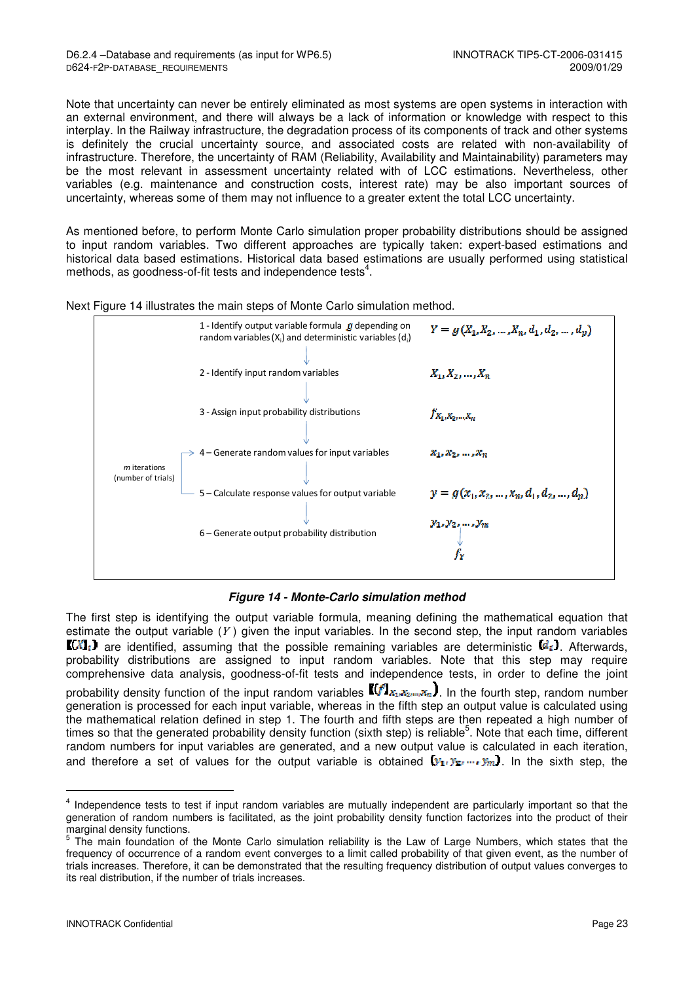Note that uncertainty can never be entirely eliminated as most systems are open systems in interaction with an external environment, and there will always be a lack of information or knowledge with respect to this interplay. In the Railway infrastructure, the degradation process of its components of track and other systems is definitely the crucial uncertainty source, and associated costs are related with non-availability of infrastructure. Therefore, the uncertainty of RAM (Reliability, Availability and Maintainability) parameters may be the most relevant in assessment uncertainty related with of LCC estimations. Nevertheless, other variables (e.g. maintenance and construction costs, interest rate) may be also important sources of uncertainty, whereas some of them may not influence to a greater extent the total LCC uncertainty.

As mentioned before, to perform Monte Carlo simulation proper probability distributions should be assigned to input random variables. Two different approaches are typically taken: expert-based estimations and historical data based estimations. Historical data based estimations are usually performed using statistical methods, as goodness-of-fit tests and independence tests<sup>4</sup>.

Next Figure 14 illustrates the main steps of Monte Carlo simulation method.



#### **Figure 14 - Monte-Carlo simulation method**

The first step is identifying the output variable formula, meaning defining the mathematical equation that estimate the output variable  $(Y)$  given the input variables. In the second step, the input random variables  $\llbracket (X]_i$  are identified, assuming that the possible remaining variables are deterministic  $\llbracket d_i \rrbracket$ . Afterwards, probability distributions are assigned to input random variables. Note that this step may require comprehensive data analysis, goodness-of-fit tests and independence tests, in order to define the joint probability density function of the input random variables  $\mathbb{I}(f]_{X_1,X_2,\ldots,X_n}$ , In the fourth step, random number generation is processed for each input variable, whereas in the fifth step an output value is calculated using the mathematical relation defined in step 1. The fourth and fifth steps are then repeated a high number of times so that the generated probability density function (sixth step) is reliable<sup>5</sup>. Note that each time, different random numbers for input variables are generated, and a new output value is calculated in each iteration, and therefore a set of values for the output variable is obtained  $(y_1, y_2, ..., y_m)$ . In the sixth step, the

-

<sup>&</sup>lt;sup>4</sup> Independence tests to test if input random variables are mutually independent are particularly important so that the generation of random numbers is facilitated, as the joint probability density function factorizes into the product of their marginal density functions.

<sup>&</sup>lt;sup>5</sup> The main foundation of the Monte Carlo simulation reliability is the Law of Large Numbers, which states that the frequency of occurrence of a random event converges to a limit called probability of that given event, as the number of trials increases. Therefore, it can be demonstrated that the resulting frequency distribution of output values converges to its real distribution, if the number of trials increases.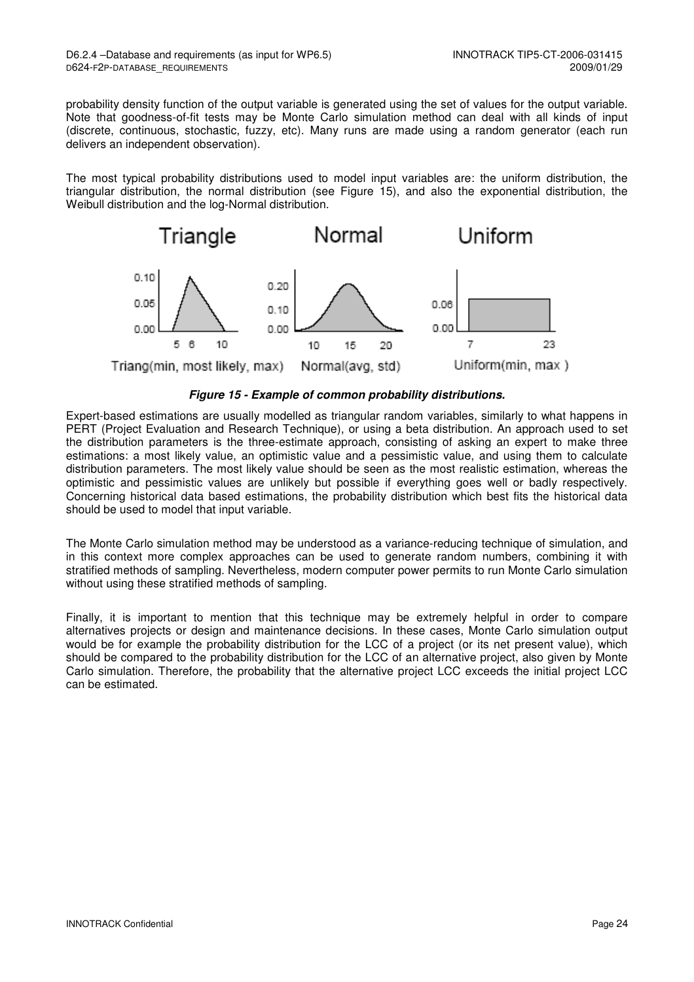probability density function of the output variable is generated using the set of values for the output variable. Note that goodness-of-fit tests may be Monte Carlo simulation method can deal with all kinds of input (discrete, continuous, stochastic, fuzzy, etc). Many runs are made using a random generator (each run delivers an independent observation).

The most typical probability distributions used to model input variables are: the uniform distribution, the triangular distribution, the normal distribution (see Figure 15), and also the exponential distribution, the Weibull distribution and the log-Normal distribution.



**Figure 15 - Example of common probability distributions.** 

Expert-based estimations are usually modelled as triangular random variables, similarly to what happens in PERT (Project Evaluation and Research Technique), or using a beta distribution. An approach used to set the distribution parameters is the three-estimate approach, consisting of asking an expert to make three estimations: a most likely value, an optimistic value and a pessimistic value, and using them to calculate distribution parameters. The most likely value should be seen as the most realistic estimation, whereas the optimistic and pessimistic values are unlikely but possible if everything goes well or badly respectively. Concerning historical data based estimations, the probability distribution which best fits the historical data should be used to model that input variable.

The Monte Carlo simulation method may be understood as a variance-reducing technique of simulation, and in this context more complex approaches can be used to generate random numbers, combining it with stratified methods of sampling. Nevertheless, modern computer power permits to run Monte Carlo simulation without using these stratified methods of sampling.

Finally, it is important to mention that this technique may be extremely helpful in order to compare alternatives projects or design and maintenance decisions. In these cases, Monte Carlo simulation output would be for example the probability distribution for the LCC of a project (or its net present value), which should be compared to the probability distribution for the LCC of an alternative project, also given by Monte Carlo simulation. Therefore, the probability that the alternative project LCC exceeds the initial project LCC can be estimated.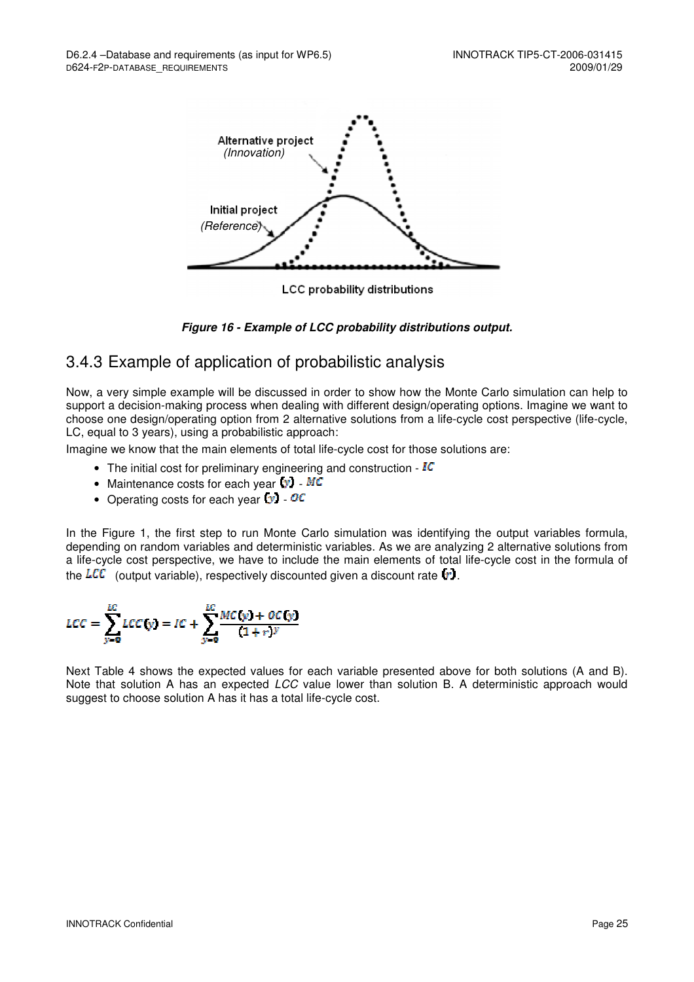

LCC probability distributions



#### 3.4.3 Example of application of probabilistic analysis

Now, a very simple example will be discussed in order to show how the Monte Carlo simulation can help to support a decision-making process when dealing with different design/operating options. Imagine we want to choose one design/operating option from 2 alternative solutions from a life-cycle cost perspective (life-cycle, LC, equal to 3 years), using a probabilistic approach:

Imagine we know that the main elements of total life-cycle cost for those solutions are:

- The initial cost for preliminary engineering and construction  $-IC$
- Maintenance costs for each year  $(v)$   $MC$
- Operating costs for each year  $\bullet$   $\circ$   $\circ$

In the Figure 1, the first step to run Monte Carlo simulation was identifying the output variables formula, depending on random variables and deterministic variables. As we are analyzing 2 alternative solutions from a life-cycle cost perspective, we have to include the main elements of total life-cycle cost in the formula of the  $LCC$  (output variable), respectively discounted given a discount rate  $\{r\}$ .

$$
LCC = \sum_{y=0}^{LC} LCC(y) = IC + \sum_{y=0}^{LC} \frac{MC(y) + OC(y)}{(1+r)^y}
$$

Next Table 4 shows the expected values for each variable presented above for both solutions (A and B). Note that solution A has an expected *LCC* value lower than solution B. A deterministic approach would suggest to choose solution A has it has a total life-cycle cost.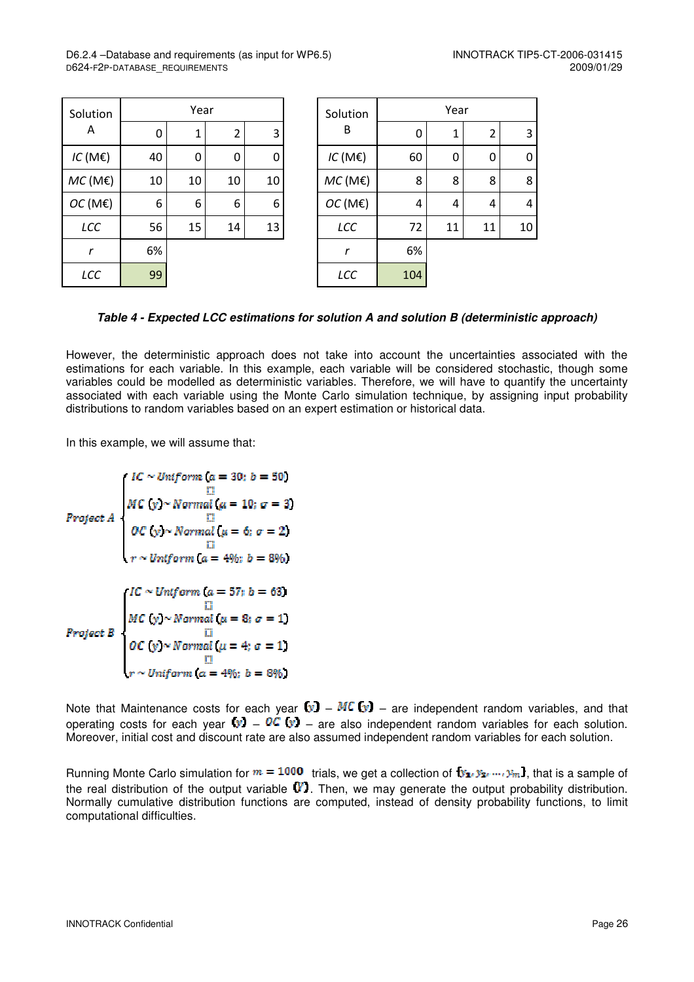| Solution<br>Α |    | Year |             |    |  | Solution<br>B |     |
|---------------|----|------|-------------|----|--|---------------|-----|
|               | 0  | 1    | 2           | 3  |  |               | 0   |
| $IC$ (ME)     | 40 | 0    | $\mathbf 0$ | 0  |  | $IC$ (ME)     | 60  |
| $MC$ (ME)     | 10 | 10   | 10          | 10 |  | $MC$ (ME)     | 8   |
| OC(ME)        | 6  | 6    | 6           | 6  |  | OC(ME)        | 4   |
| LCC           | 56 | 15   | 14          | 13 |  | LCC           | 72  |
| r             | 6% |      |             |    |  | r             | 6%  |
| LCC           | 99 |      |             |    |  | LCC           | 104 |

| Solution<br>Α | Year |    |                |    | Solution    | Year |    |                |             |
|---------------|------|----|----------------|----|-------------|------|----|----------------|-------------|
|               | 0    | 1  | $\overline{2}$ | 3  | В           | 0    | 1  | $\overline{2}$ | 3           |
| $IC$ (ME)     | 40   | 0  | 0              | 0  | $IC$ (ME)   | 60   | 0  | 0              | $\mathbf 0$ |
| $MC$ (ME)     | 10   | 10 | 10             | 10 | $MC$ (ME)   | 8    | 8  | 8              | 8           |
| OC(ME)        | 6    | 6  | 6              | 6  | OC(ME)      | 4    | 4  | 4              | 4           |
| LCC           | 56   | 15 | 14             | 13 | LCC         | 72   | 11 | 11             | 10          |
| $\mathbf r$   | 6%   |    |                |    | $\mathbf r$ | 6%   |    |                |             |
| LCC           | 99   |    |                |    | LCC         | 104  |    |                |             |

**Table 4 - Expected LCC estimations for solution A and solution B (deterministic approach)** 

However, the deterministic approach does not take into account the uncertainties associated with the estimations for each variable. In this example, each variable will be considered stochastic, though some variables could be modelled as deterministic variables. Therefore, we will have to quantify the uncertainty associated with each variable using the Monte Carlo simulation technique, by assigning input probability distributions to random variables based on an expert estimation or historical data.

In this example, we will assume that:

$$
Project A
$$
\n
$$
Project B
$$
\n
$$
10C
$$
\n
$$
11C
$$
\n
$$
12C
$$
\n
$$
13C
$$
\n
$$
14C
$$
\n
$$
15C
$$
\n
$$
16C
$$
\n
$$
17C
$$
\n
$$
18C
$$
\n
$$
19C
$$
\n
$$
10C
$$
\n
$$
19C
$$
\n
$$
10C
$$
\n
$$
10C
$$
\n
$$
10C
$$
\n
$$
10C
$$
\n
$$
10C
$$
\n
$$
10C
$$
\n
$$
10C
$$
\n
$$
10C
$$
\n
$$
10C
$$
\n
$$
10C
$$
\n
$$
10C
$$
\n
$$
10C
$$
\n
$$
10C
$$
\n
$$
10C
$$
\n
$$
10C
$$
\n
$$
10C
$$
\n
$$
10C
$$
\n
$$
10C
$$
\n
$$
10C
$$
\n
$$
10C
$$
\n
$$
10C
$$
\n
$$
10C
$$
\n
$$
10C
$$
\n
$$
10C
$$
\n
$$
10C
$$
\n
$$
10C
$$
\n
$$
10C
$$
\n
$$
10C
$$
\n
$$
10C
$$
\n
$$
10C
$$
\n
$$
10C
$$
\n
$$
10C
$$
\n
$$
10C
$$
\n
$$
10C
$$
\n
$$
10C
$$
\n
$$
10C
$$
\n
$$
10C
$$
\n
$$
10C
$$
\n
$$
10C
$$
\n
$$
10C
$$
\n
$$
10C
$$
\n
$$
10C
$$
\n
$$
10C
$$
\n
$$
10C
$$
\n
$$
10C
$$
\n

Note that Maintenance costs for each year  $(y)$  – MC  $(y)$  – are independent random variables, and that operating costs for each year  $\ddot{v}$  –  $\ddot{v}$  – are also independent random variables for each solution. Moreover, initial cost and discount rate are also assumed independent random variables for each solution.

Running Monte Carlo simulation for  $m = 1000$  trials, we get a collection of  $y_1, y_2, ..., y_m$ , that is a sample of the real distribution of the output variable  $\mathbf{W}$ . Then, we may generate the output probability distribution. Normally cumulative distribution functions are computed, instead of density probability functions, to limit computational difficulties.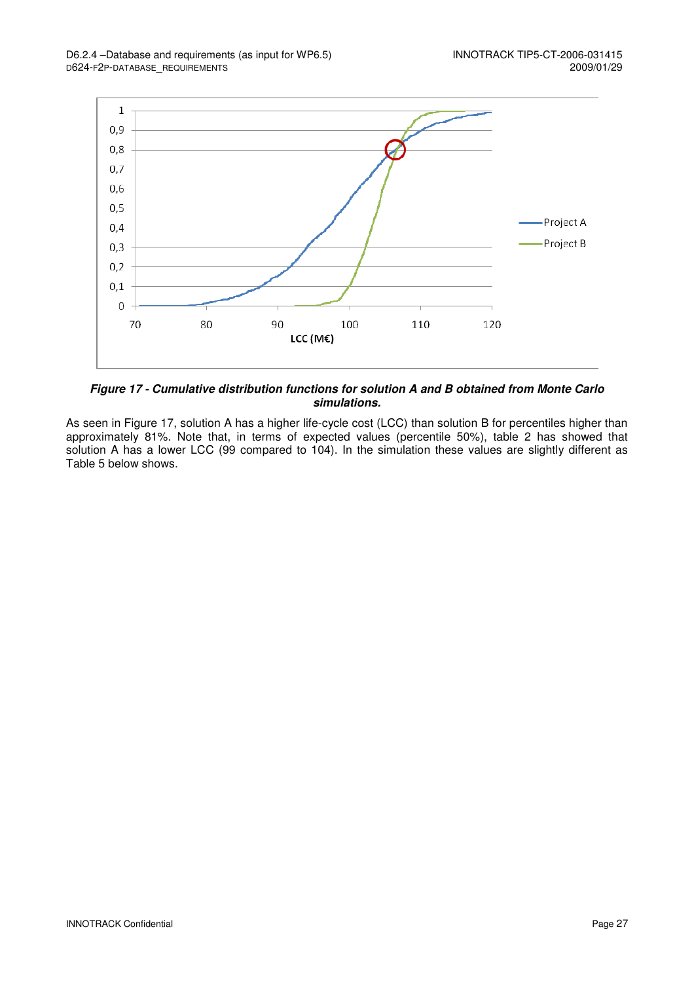

**Figure 17 - Cumulative distribution functions for solution A and B obtained from Monte Carlo simulations.** 

As seen in Figure 17, solution A has a higher life-cycle cost (LCC) than solution B for percentiles higher than approximately 81%. Note that, in terms of expected values (percentile 50%), table 2 has showed that solution A has a lower LCC (99 compared to 104). In the simulation these values are slightly different as Table 5 below shows.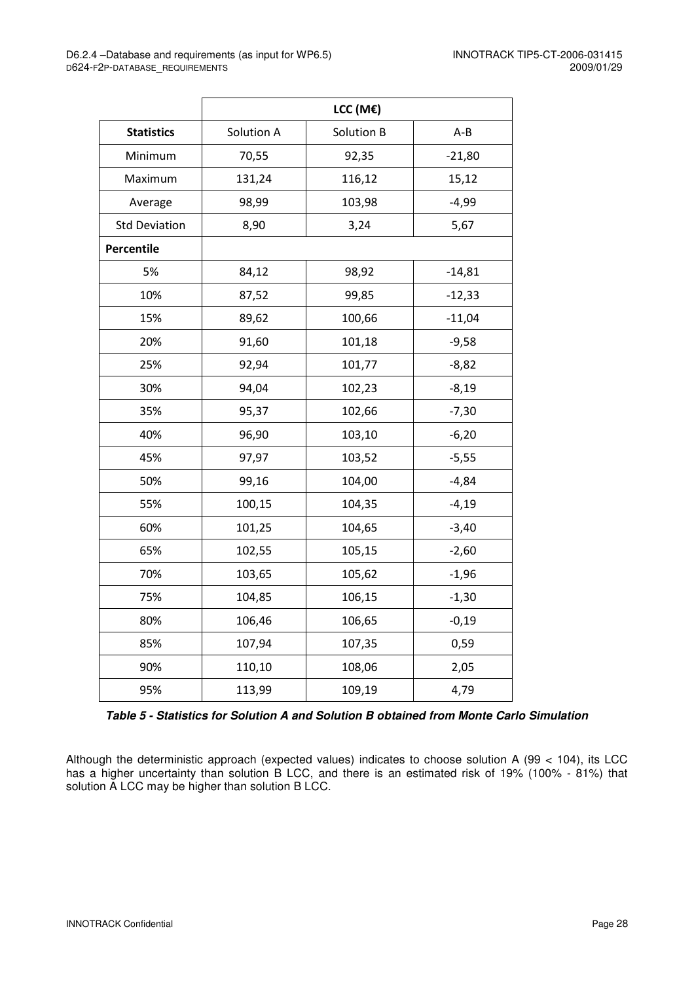|                      | LCC (M€)   |            |          |  |  |  |
|----------------------|------------|------------|----------|--|--|--|
| <b>Statistics</b>    | Solution A | Solution B | $A - B$  |  |  |  |
| Minimum              | 70,55      | 92,35      | $-21,80$ |  |  |  |
| Maximum              | 131,24     | 116,12     | 15,12    |  |  |  |
| Average              | 98,99      | 103,98     | $-4,99$  |  |  |  |
| <b>Std Deviation</b> | 8,90       | 3,24       | 5,67     |  |  |  |
| <b>Percentile</b>    |            |            |          |  |  |  |
| 5%                   | 84,12      | 98,92      | $-14,81$ |  |  |  |
| 10%                  | 87,52      | 99,85      | $-12,33$ |  |  |  |
| 15%                  | 89,62      | 100,66     | $-11,04$ |  |  |  |
| 20%                  | 91,60      | 101,18     | $-9,58$  |  |  |  |
| 25%                  | 92,94      | 101,77     | $-8,82$  |  |  |  |
| 30%                  | 94,04      | 102,23     | $-8,19$  |  |  |  |
| 35%                  | 95,37      | 102,66     | $-7,30$  |  |  |  |
| 40%                  | 96,90      | 103,10     | $-6,20$  |  |  |  |
| 45%                  | 97,97      | 103,52     | $-5,55$  |  |  |  |
| 50%                  | 99,16      | 104,00     | $-4,84$  |  |  |  |
| 55%                  | 100,15     | 104,35     | $-4,19$  |  |  |  |
| 60%                  | 101,25     | 104,65     | $-3,40$  |  |  |  |
| 65%                  | 102,55     | 105,15     | $-2,60$  |  |  |  |
| 70%                  | 103,65     | 105,62     | $-1,96$  |  |  |  |
| 75%                  | 104,85     | 106,15     | $-1,30$  |  |  |  |
| 80%                  | 106,46     | 106,65     | $-0,19$  |  |  |  |
| 85%                  | 107,94     | 107,35     | 0,59     |  |  |  |
| 90%                  | 110,10     | 108,06     | 2,05     |  |  |  |
| 95%                  | 113,99     | 109,19     | 4,79     |  |  |  |

**Table 5 - Statistics for Solution A and Solution B obtained from Monte Carlo Simulation** 

Although the deterministic approach (expected values) indicates to choose solution A (99 < 104), its LCC has a higher uncertainty than solution B LCC, and there is an estimated risk of 19% (100% - 81%) that solution A LCC may be higher than solution B LCC.